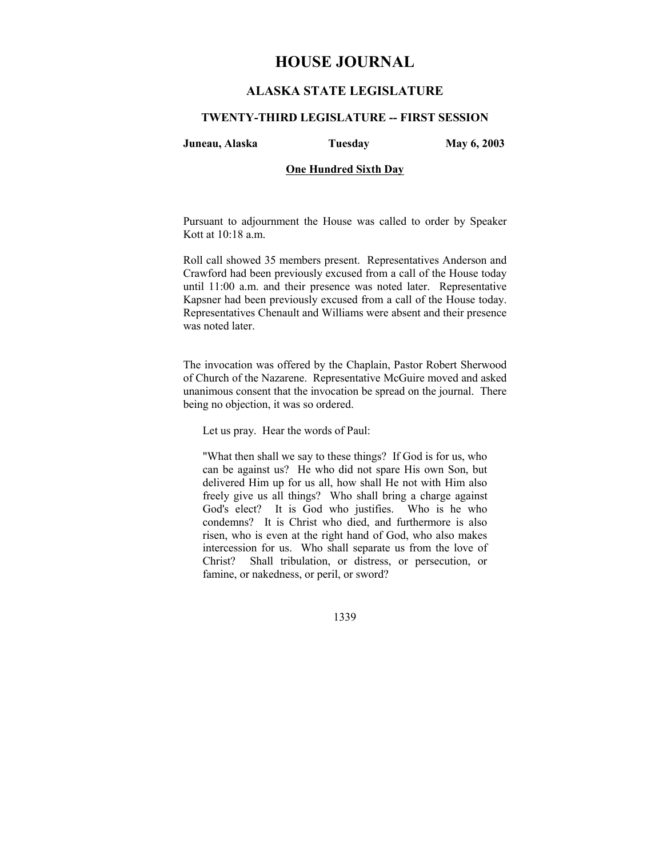# **HOUSE JOURNAL**

# **ALASKA STATE LEGISLATURE**

#### **TWENTY-THIRD LEGISLATURE -- FIRST SESSION**

**Juneau, Alaska Tuesday May 6, 2003** 

# **One Hundred Sixth Day**

Pursuant to adjournment the House was called to order by Speaker Kott at 10:18 a.m.

Roll call showed 35 members present. Representatives Anderson and Crawford had been previously excused from a call of the House today until 11:00 a.m. and their presence was noted later. Representative Kapsner had been previously excused from a call of the House today. Representatives Chenault and Williams were absent and their presence was noted later.

The invocation was offered by the Chaplain, Pastor Robert Sherwood of Church of the Nazarene. Representative McGuire moved and asked unanimous consent that the invocation be spread on the journal. There being no objection, it was so ordered.

Let us pray. Hear the words of Paul:

"What then shall we say to these things? If God is for us, who can be against us? He who did not spare His own Son, but delivered Him up for us all, how shall He not with Him also freely give us all things? Who shall bring a charge against God's elect? It is God who justifies. Who is he who condemns? It is Christ who died, and furthermore is also risen, who is even at the right hand of God, who also makes intercession for us. Who shall separate us from the love of Christ? Shall tribulation, or distress, or persecution, or famine, or nakedness, or peril, or sword?

1339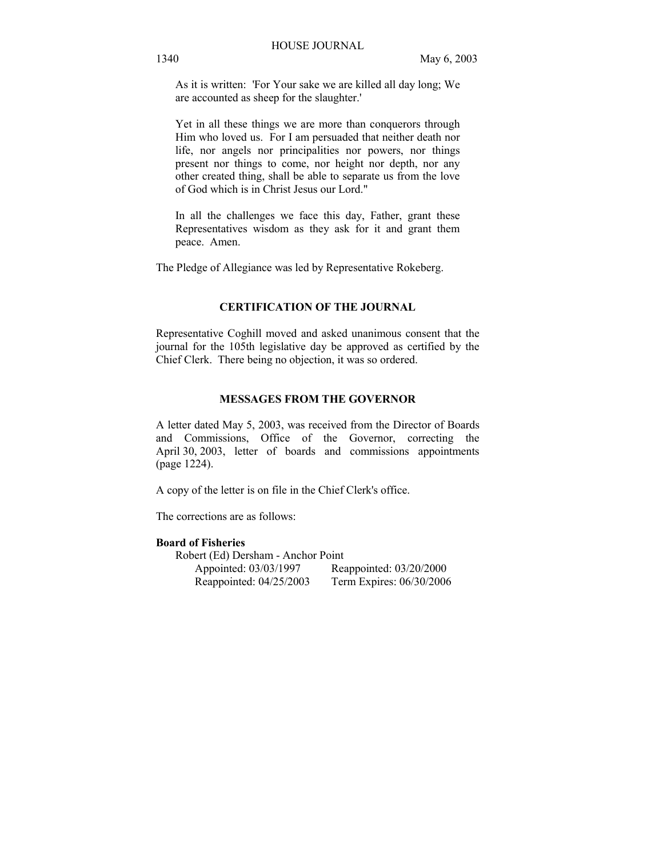As it is written: 'For Your sake we are killed all day long; We are accounted as sheep for the slaughter.'

Yet in all these things we are more than conquerors through Him who loved us. For I am persuaded that neither death nor life, nor angels nor principalities nor powers, nor things present nor things to come, nor height nor depth, nor any other created thing, shall be able to separate us from the love of God which is in Christ Jesus our Lord."

In all the challenges we face this day, Father, grant these Representatives wisdom as they ask for it and grant them peace. Amen.

The Pledge of Allegiance was led by Representative Rokeberg.

# **CERTIFICATION OF THE JOURNAL**

Representative Coghill moved and asked unanimous consent that the journal for the 105th legislative day be approved as certified by the Chief Clerk. There being no objection, it was so ordered.

# **MESSAGES FROM THE GOVERNOR**

A letter dated May 5, 2003, was received from the Director of Boards and Commissions, Office of the Governor, correcting the April 30, 2003, letter of boards and commissions appointments (page 1224).

A copy of the letter is on file in the Chief Clerk's office.

The corrections are as follows:

# **Board of Fisheries**

 Robert (Ed) Dersham - Anchor Point Appointed: 03/03/1997 Reappointed: 03/20/2000 Reappointed: 04/25/2003 Term Expires: 06/30/2006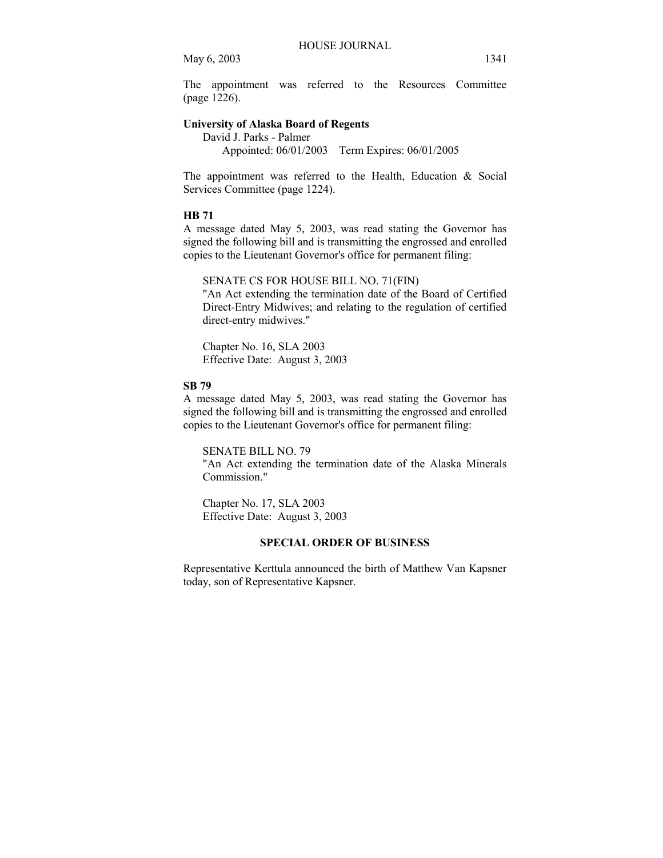The appointment was referred to the Resources Committee (page 1226).

# **University of Alaska Board of Regents**

 David J. Parks - Palmer Appointed: 06/01/2003 Term Expires: 06/01/2005

The appointment was referred to the Health, Education & Social Services Committee (page 1224).

# **HB 71**

A message dated May 5, 2003, was read stating the Governor has signed the following bill and is transmitting the engrossed and enrolled copies to the Lieutenant Governor's office for permanent filing:

SENATE CS FOR HOUSE BILL NO. 71(FIN)

"An Act extending the termination date of the Board of Certified Direct-Entry Midwives; and relating to the regulation of certified direct-entry midwives."

Chapter No. 16, SLA 2003 Effective Date: August 3, 2003

#### **SB 79**

A message dated May 5, 2003, was read stating the Governor has signed the following bill and is transmitting the engrossed and enrolled copies to the Lieutenant Governor's office for permanent filing:

SENATE BILL NO. 79 "An Act extending the termination date of the Alaska Minerals Commission."

Chapter No. 17, SLA 2003 Effective Date: August 3, 2003

# **SPECIAL ORDER OF BUSINESS**

Representative Kerttula announced the birth of Matthew Van Kapsner today, son of Representative Kapsner.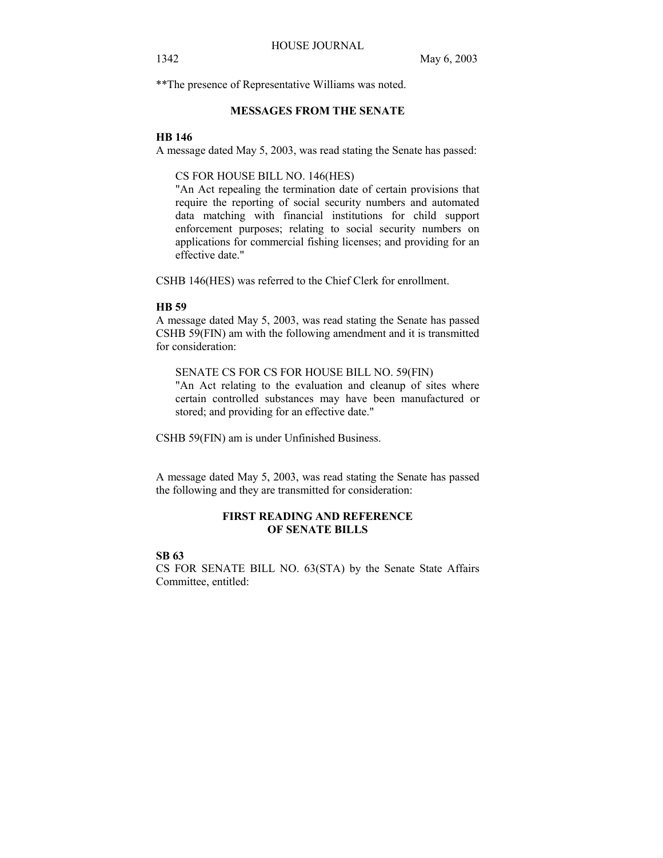\*\*The presence of Representative Williams was noted.

# **MESSAGES FROM THE SENATE**

#### **HB 146**

A message dated May 5, 2003, was read stating the Senate has passed:

CS FOR HOUSE BILL NO. 146(HES)

"An Act repealing the termination date of certain provisions that require the reporting of social security numbers and automated data matching with financial institutions for child support enforcement purposes; relating to social security numbers on applications for commercial fishing licenses; and providing for an effective date."

CSHB 146(HES) was referred to the Chief Clerk for enrollment.

#### **HB 59**

A message dated May 5, 2003, was read stating the Senate has passed CSHB 59(FIN) am with the following amendment and it is transmitted for consideration:

SENATE CS FOR CS FOR HOUSE BILL NO. 59(FIN)

"An Act relating to the evaluation and cleanup of sites where certain controlled substances may have been manufactured or stored; and providing for an effective date."

CSHB 59(FIN) am is under Unfinished Business.

A message dated May 5, 2003, was read stating the Senate has passed the following and they are transmitted for consideration:

# **FIRST READING AND REFERENCE OF SENATE BILLS**

# **SB 63**

CS FOR SENATE BILL NO. 63(STA) by the Senate State Affairs Committee, entitled: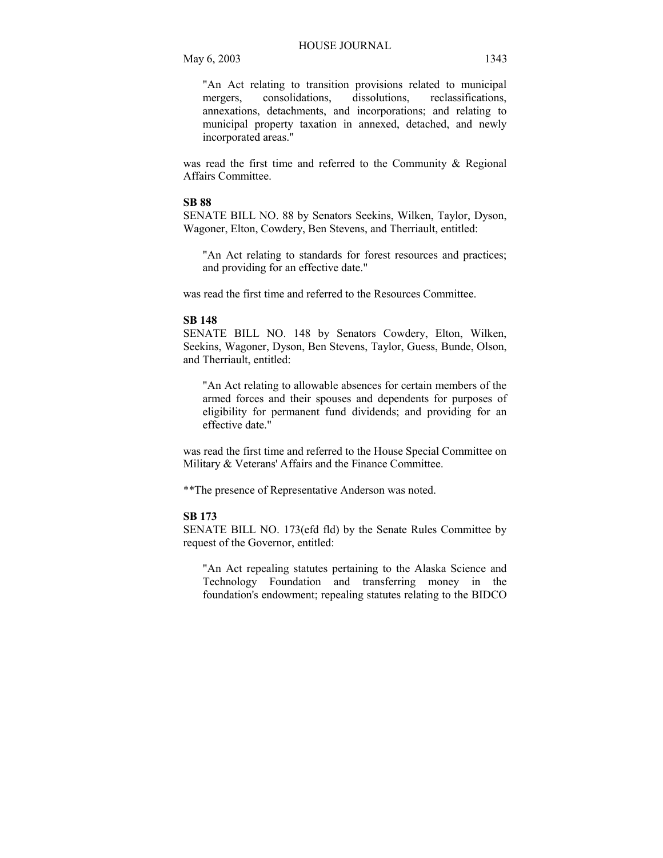"An Act relating to transition provisions related to municipal mergers, consolidations, dissolutions, reclassifications, annexations, detachments, and incorporations; and relating to municipal property taxation in annexed, detached, and newly incorporated areas."

was read the first time and referred to the Community & Regional Affairs Committee.

# **SB 88**

SENATE BILL NO. 88 by Senators Seekins, Wilken, Taylor, Dyson, Wagoner, Elton, Cowdery, Ben Stevens, and Therriault, entitled:

"An Act relating to standards for forest resources and practices; and providing for an effective date."

was read the first time and referred to the Resources Committee.

#### **SB 148**

SENATE BILL NO. 148 by Senators Cowdery, Elton, Wilken, Seekins, Wagoner, Dyson, Ben Stevens, Taylor, Guess, Bunde, Olson, and Therriault, entitled:

"An Act relating to allowable absences for certain members of the armed forces and their spouses and dependents for purposes of eligibility for permanent fund dividends; and providing for an effective date."

was read the first time and referred to the House Special Committee on Military & Veterans' Affairs and the Finance Committee.

\*\*The presence of Representative Anderson was noted.

#### **SB 173**

SENATE BILL NO. 173(efd fld) by the Senate Rules Committee by request of the Governor, entitled:

"An Act repealing statutes pertaining to the Alaska Science and Technology Foundation and transferring money in the foundation's endowment; repealing statutes relating to the BIDCO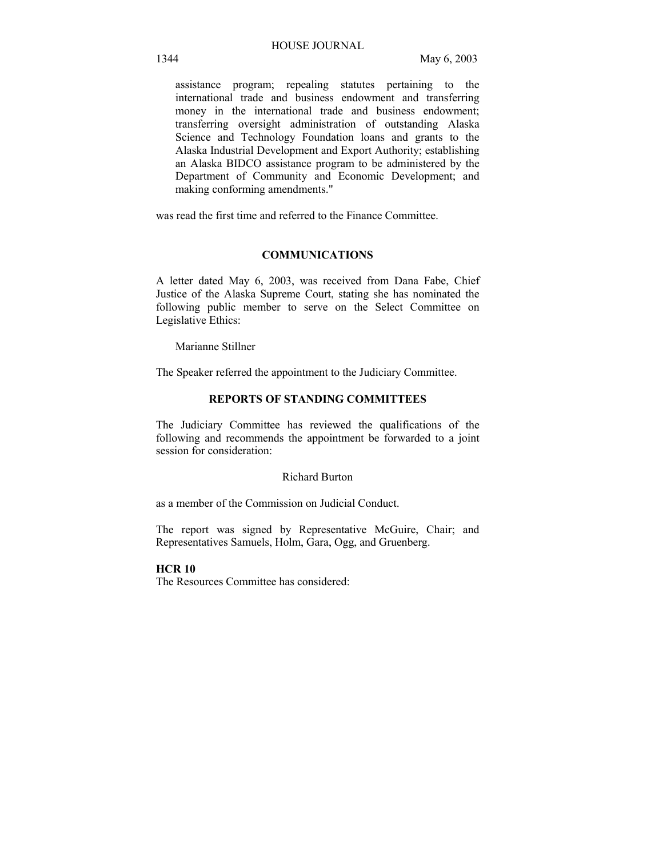assistance program; repealing statutes pertaining to the international trade and business endowment and transferring money in the international trade and business endowment; transferring oversight administration of outstanding Alaska Science and Technology Foundation loans and grants to the Alaska Industrial Development and Export Authority; establishing an Alaska BIDCO assistance program to be administered by the Department of Community and Economic Development; and making conforming amendments."

was read the first time and referred to the Finance Committee.

### **COMMUNICATIONS**

A letter dated May 6, 2003, was received from Dana Fabe, Chief Justice of the Alaska Supreme Court, stating she has nominated the following public member to serve on the Select Committee on Legislative Ethics:

Marianne Stillner

The Speaker referred the appointment to the Judiciary Committee.

# **REPORTS OF STANDING COMMITTEES**

The Judiciary Committee has reviewed the qualifications of the following and recommends the appointment be forwarded to a joint session for consideration:

#### Richard Burton

as a member of the Commission on Judicial Conduct.

The report was signed by Representative McGuire, Chair; and Representatives Samuels, Holm, Gara, Ogg, and Gruenberg.

#### **HCR 10**

The Resources Committee has considered: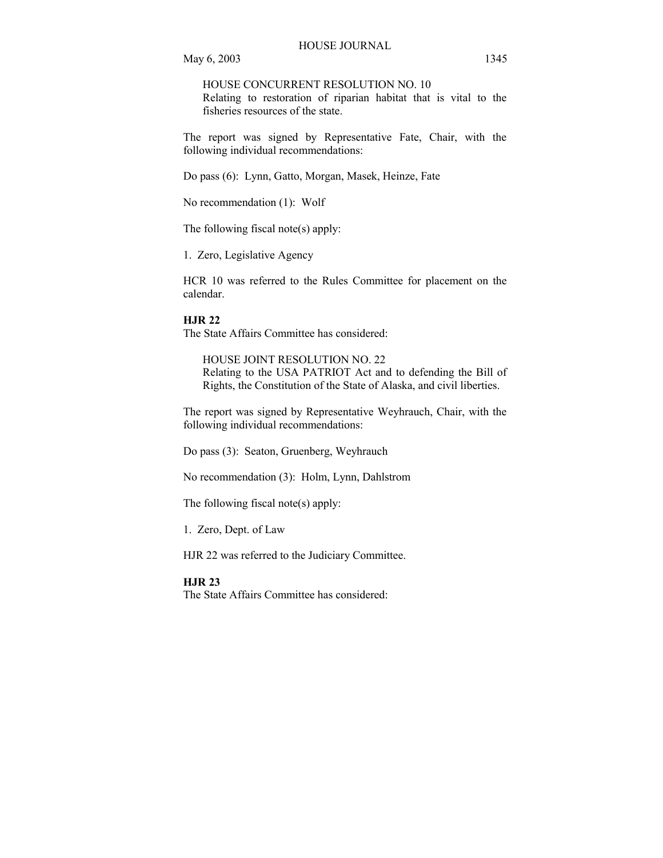HOUSE CONCURRENT RESOLUTION NO. 10

Relating to restoration of riparian habitat that is vital to the fisheries resources of the state.

The report was signed by Representative Fate, Chair, with the following individual recommendations:

Do pass (6): Lynn, Gatto, Morgan, Masek, Heinze, Fate

No recommendation (1): Wolf

The following fiscal note(s) apply:

1. Zero, Legislative Agency

HCR 10 was referred to the Rules Committee for placement on the calendar.

#### **HJR 22**

The State Affairs Committee has considered:

HOUSE JOINT RESOLUTION NO. 22 Relating to the USA PATRIOT Act and to defending the Bill of Rights, the Constitution of the State of Alaska, and civil liberties.

The report was signed by Representative Weyhrauch, Chair, with the following individual recommendations:

Do pass (3): Seaton, Gruenberg, Weyhrauch

No recommendation (3): Holm, Lynn, Dahlstrom

The following fiscal note(s) apply:

1. Zero, Dept. of Law

HJR 22 was referred to the Judiciary Committee.

#### **HJR 23**

The State Affairs Committee has considered: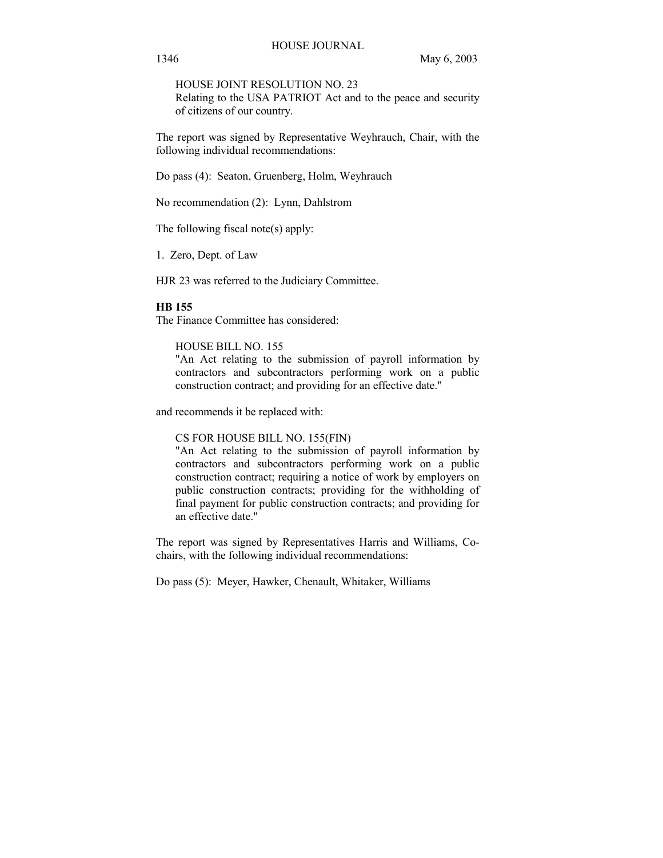HOUSE JOINT RESOLUTION NO. 23 Relating to the USA PATRIOT Act and to the peace and security of citizens of our country.

The report was signed by Representative Weyhrauch, Chair, with the following individual recommendations:

Do pass (4): Seaton, Gruenberg, Holm, Weyhrauch

No recommendation (2): Lynn, Dahlstrom

The following fiscal note(s) apply:

1. Zero, Dept. of Law

HJR 23 was referred to the Judiciary Committee.

#### **HB 155**

The Finance Committee has considered:

#### HOUSE BILL NO. 155

"An Act relating to the submission of payroll information by contractors and subcontractors performing work on a public construction contract; and providing for an effective date."

and recommends it be replaced with:

CS FOR HOUSE BILL NO. 155(FIN)

"An Act relating to the submission of payroll information by contractors and subcontractors performing work on a public construction contract; requiring a notice of work by employers on public construction contracts; providing for the withholding of final payment for public construction contracts; and providing for an effective date."

The report was signed by Representatives Harris and Williams, Cochairs, with the following individual recommendations:

Do pass (5): Meyer, Hawker, Chenault, Whitaker, Williams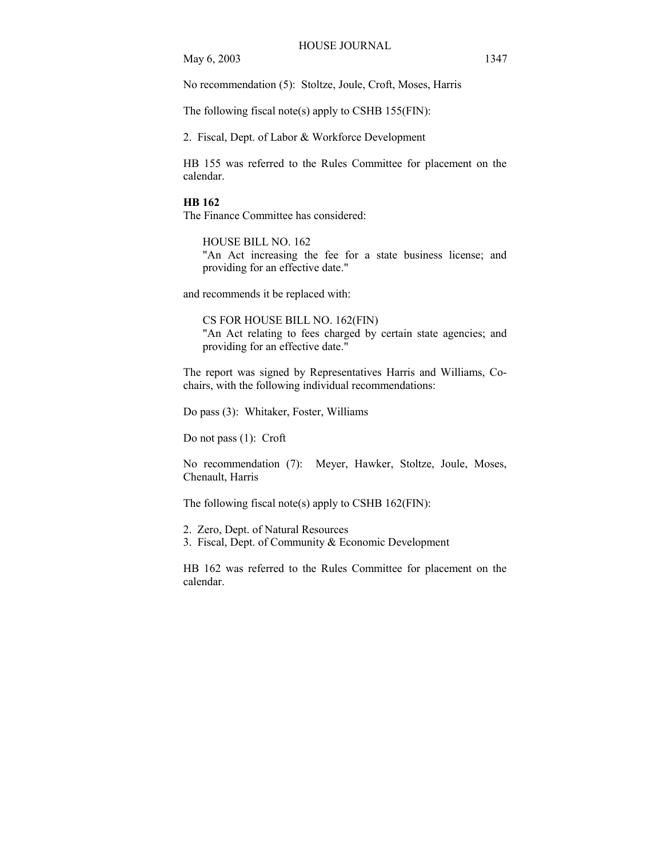No recommendation (5): Stoltze, Joule, Croft, Moses, Harris

The following fiscal note(s) apply to CSHB 155(FIN):

2. Fiscal, Dept. of Labor & Workforce Development

HB 155 was referred to the Rules Committee for placement on the calendar.

#### **HB 162**

The Finance Committee has considered:

HOUSE BILL NO. 162 "An Act increasing the fee for a state business license; and providing for an effective date."

and recommends it be replaced with:

CS FOR HOUSE BILL NO. 162(FIN) "An Act relating to fees charged by certain state agencies; and providing for an effective date."

The report was signed by Representatives Harris and Williams, Cochairs, with the following individual recommendations:

Do pass (3): Whitaker, Foster, Williams

Do not pass (1): Croft

No recommendation (7): Meyer, Hawker, Stoltze, Joule, Moses, Chenault, Harris

The following fiscal note(s) apply to CSHB 162(FIN):

2. Zero, Dept. of Natural Resources

3. Fiscal, Dept. of Community & Economic Development

HB 162 was referred to the Rules Committee for placement on the calendar.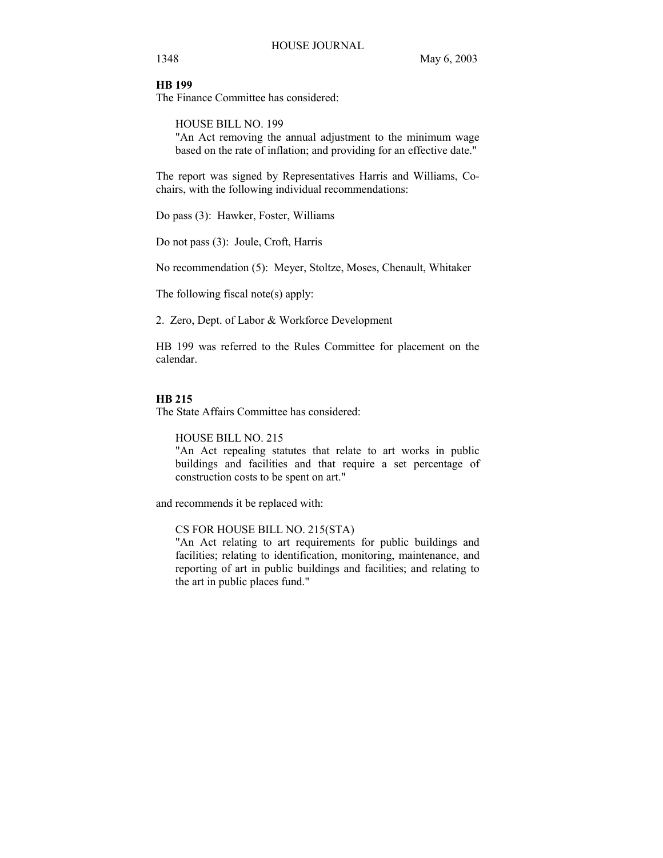# **HB 199**

The Finance Committee has considered:

HOUSE BILL NO. 199

"An Act removing the annual adjustment to the minimum wage based on the rate of inflation; and providing for an effective date."

The report was signed by Representatives Harris and Williams, Cochairs, with the following individual recommendations:

Do pass (3): Hawker, Foster, Williams

Do not pass (3): Joule, Croft, Harris

No recommendation (5): Meyer, Stoltze, Moses, Chenault, Whitaker

The following fiscal note(s) apply:

2. Zero, Dept. of Labor & Workforce Development

HB 199 was referred to the Rules Committee for placement on the calendar.

## **HB 215**

The State Affairs Committee has considered:

HOUSE BILL NO. 215

"An Act repealing statutes that relate to art works in public buildings and facilities and that require a set percentage of construction costs to be spent on art."

and recommends it be replaced with:

#### CS FOR HOUSE BILL NO. 215(STA)

"An Act relating to art requirements for public buildings and facilities; relating to identification, monitoring, maintenance, and reporting of art in public buildings and facilities; and relating to the art in public places fund."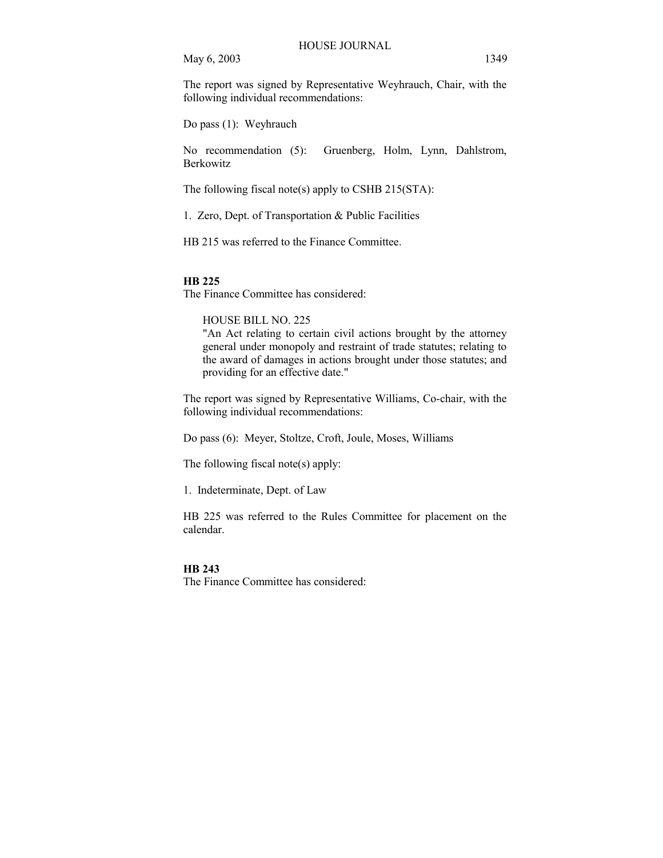The report was signed by Representative Weyhrauch, Chair, with the following individual recommendations:

Do pass (1): Weyhrauch

No recommendation (5): Gruenberg, Holm, Lynn, Dahlstrom, Berkowitz

The following fiscal note(s) apply to CSHB 215(STA):

1. Zero, Dept. of Transportation & Public Facilities

HB 215 was referred to the Finance Committee.

#### **HB 225**

The Finance Committee has considered:

HOUSE BILL NO. 225

"An Act relating to certain civil actions brought by the attorney general under monopoly and restraint of trade statutes; relating to the award of damages in actions brought under those statutes; and providing for an effective date."

The report was signed by Representative Williams, Co-chair, with the following individual recommendations:

Do pass (6): Meyer, Stoltze, Croft, Joule, Moses, Williams

The following fiscal note(s) apply:

1. Indeterminate, Dept. of Law

HB 225 was referred to the Rules Committee for placement on the calendar.

#### **HB 243**

The Finance Committee has considered: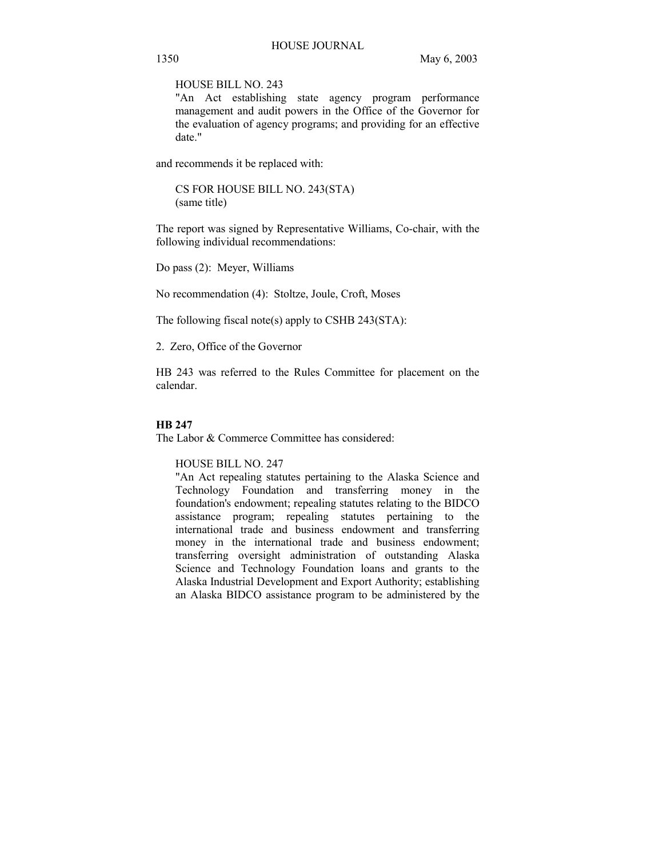HOUSE BILL NO. 243

"An Act establishing state agency program performance management and audit powers in the Office of the Governor for the evaluation of agency programs; and providing for an effective date."

and recommends it be replaced with:

CS FOR HOUSE BILL NO. 243(STA) (same title)

The report was signed by Representative Williams, Co-chair, with the following individual recommendations:

Do pass (2): Meyer, Williams

No recommendation (4): Stoltze, Joule, Croft, Moses

The following fiscal note(s) apply to CSHB 243(STA):

2. Zero, Office of the Governor

HB 243 was referred to the Rules Committee for placement on the calendar.

#### **HB 247**

The Labor & Commerce Committee has considered:

HOUSE BILL NO. 247

"An Act repealing statutes pertaining to the Alaska Science and Technology Foundation and transferring money in the foundation's endowment; repealing statutes relating to the BIDCO assistance program; repealing statutes pertaining to the international trade and business endowment and transferring money in the international trade and business endowment; transferring oversight administration of outstanding Alaska Science and Technology Foundation loans and grants to the Alaska Industrial Development and Export Authority; establishing an Alaska BIDCO assistance program to be administered by the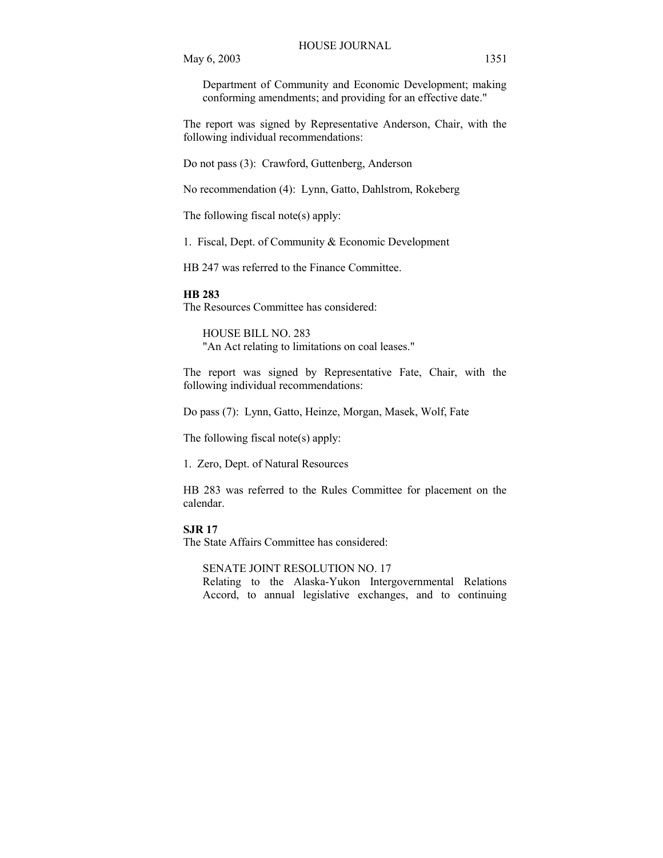Department of Community and Economic Development; making conforming amendments; and providing for an effective date."

The report was signed by Representative Anderson, Chair, with the following individual recommendations:

Do not pass (3): Crawford, Guttenberg, Anderson

No recommendation (4): Lynn, Gatto, Dahlstrom, Rokeberg

The following fiscal note(s) apply:

1. Fiscal, Dept. of Community & Economic Development

HB 247 was referred to the Finance Committee.

#### **HB 283**

The Resources Committee has considered:

HOUSE BILL NO. 283 "An Act relating to limitations on coal leases."

The report was signed by Representative Fate, Chair, with the following individual recommendations:

Do pass (7): Lynn, Gatto, Heinze, Morgan, Masek, Wolf, Fate

The following fiscal note(s) apply:

1. Zero, Dept. of Natural Resources

HB 283 was referred to the Rules Committee for placement on the calendar.

#### **SJR 17**

The State Affairs Committee has considered:

#### SENATE JOINT RESOLUTION NO. 17

Relating to the Alaska-Yukon Intergovernmental Relations Accord, to annual legislative exchanges, and to continuing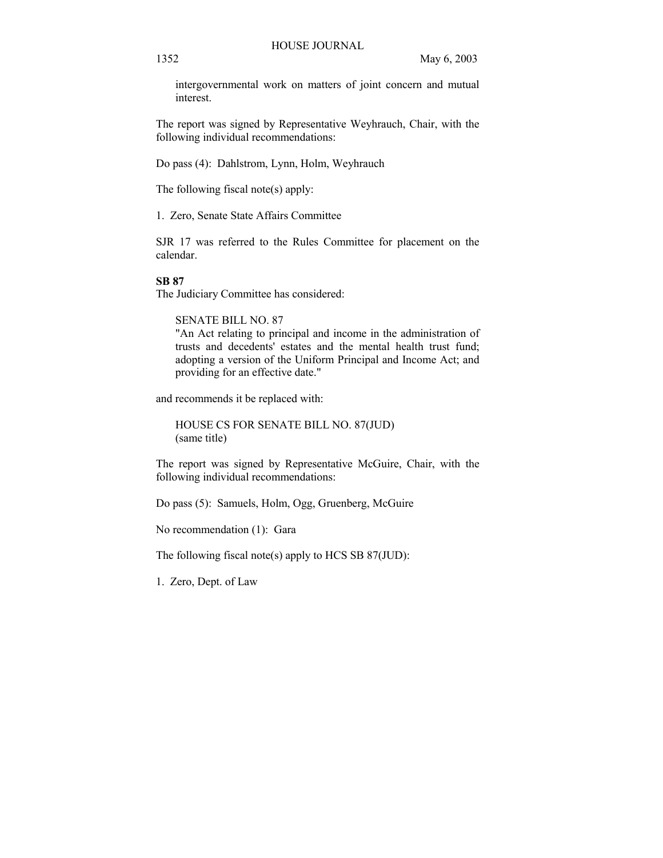intergovernmental work on matters of joint concern and mutual interest.

The report was signed by Representative Weyhrauch, Chair, with the following individual recommendations:

Do pass (4): Dahlstrom, Lynn, Holm, Weyhrauch

The following fiscal note(s) apply:

1. Zero, Senate State Affairs Committee

SJR 17 was referred to the Rules Committee for placement on the calendar.

#### **SB 87**

The Judiciary Committee has considered:

SENATE BILL NO. 87

"An Act relating to principal and income in the administration of trusts and decedents' estates and the mental health trust fund; adopting a version of the Uniform Principal and Income Act; and providing for an effective date."

and recommends it be replaced with:

HOUSE CS FOR SENATE BILL NO. 87(JUD) (same title)

The report was signed by Representative McGuire, Chair, with the following individual recommendations:

Do pass (5): Samuels, Holm, Ogg, Gruenberg, McGuire

No recommendation (1): Gara

The following fiscal note(s) apply to HCS SB 87(JUD):

1. Zero, Dept. of Law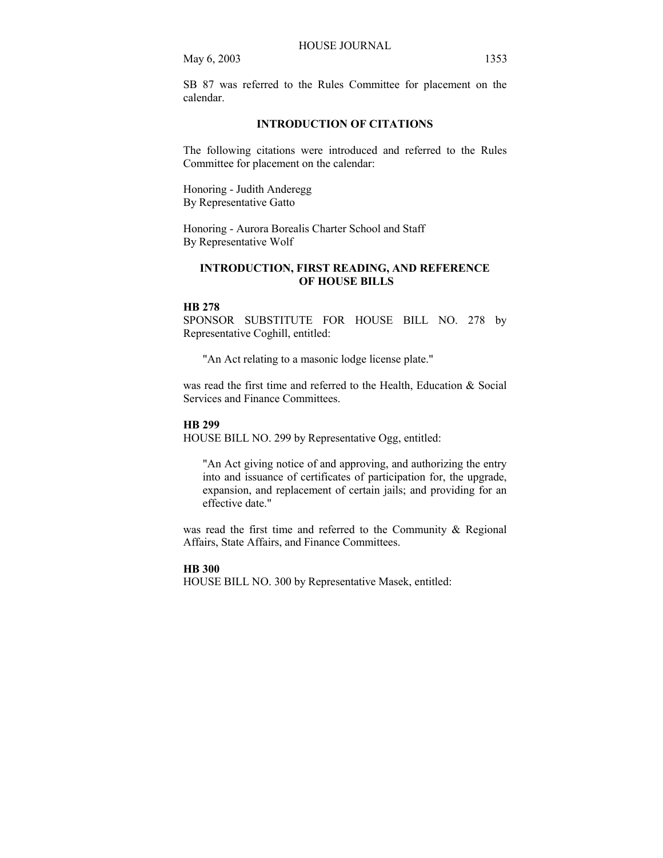SB 87 was referred to the Rules Committee for placement on the calendar.

# **INTRODUCTION OF CITATIONS**

The following citations were introduced and referred to the Rules Committee for placement on the calendar:

Honoring - Judith Anderegg By Representative Gatto

Honoring - Aurora Borealis Charter School and Staff By Representative Wolf

# **INTRODUCTION, FIRST READING, AND REFERENCE OF HOUSE BILLS**

#### **HB 278**

SPONSOR SUBSTITUTE FOR HOUSE BILL NO. 278 by Representative Coghill, entitled:

"An Act relating to a masonic lodge license plate."

was read the first time and referred to the Health, Education & Social Services and Finance Committees.

#### **HB 299**

HOUSE BILL NO. 299 by Representative Ogg, entitled:

"An Act giving notice of and approving, and authorizing the entry into and issuance of certificates of participation for, the upgrade, expansion, and replacement of certain jails; and providing for an effective date."

was read the first time and referred to the Community & Regional Affairs, State Affairs, and Finance Committees.

#### **HB 300**

HOUSE BILL NO. 300 by Representative Masek, entitled: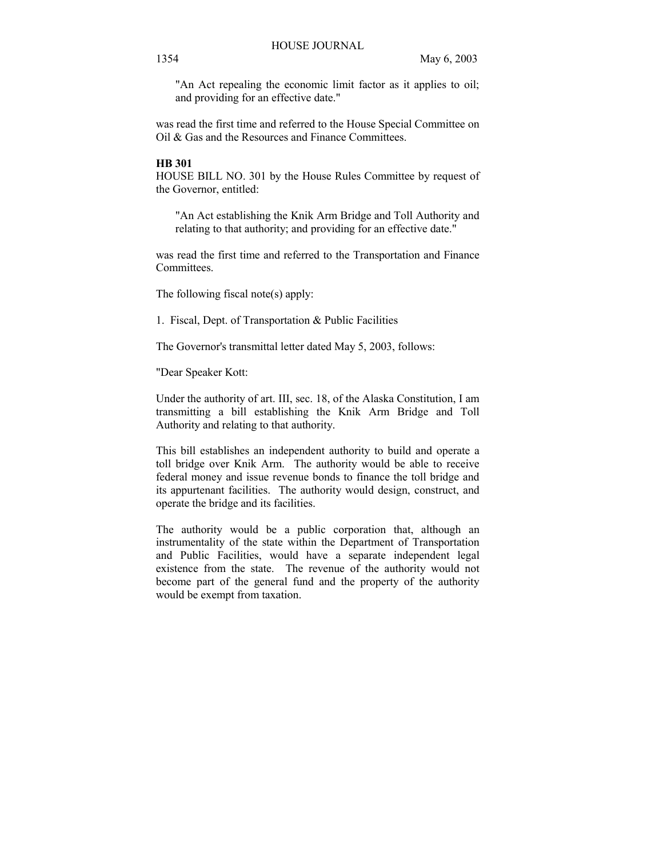"An Act repealing the economic limit factor as it applies to oil; and providing for an effective date."

was read the first time and referred to the House Special Committee on Oil & Gas and the Resources and Finance Committees.

#### **HB 301**

HOUSE BILL NO. 301 by the House Rules Committee by request of the Governor, entitled:

"An Act establishing the Knik Arm Bridge and Toll Authority and relating to that authority; and providing for an effective date."

was read the first time and referred to the Transportation and Finance Committees.

The following fiscal note(s) apply:

1. Fiscal, Dept. of Transportation & Public Facilities

The Governor's transmittal letter dated May 5, 2003, follows:

"Dear Speaker Kott:

Under the authority of art. III, sec. 18, of the Alaska Constitution, I am transmitting a bill establishing the Knik Arm Bridge and Toll Authority and relating to that authority.

This bill establishes an independent authority to build and operate a toll bridge over Knik Arm. The authority would be able to receive federal money and issue revenue bonds to finance the toll bridge and its appurtenant facilities. The authority would design, construct, and operate the bridge and its facilities.

The authority would be a public corporation that, although an instrumentality of the state within the Department of Transportation and Public Facilities, would have a separate independent legal existence from the state. The revenue of the authority would not become part of the general fund and the property of the authority would be exempt from taxation.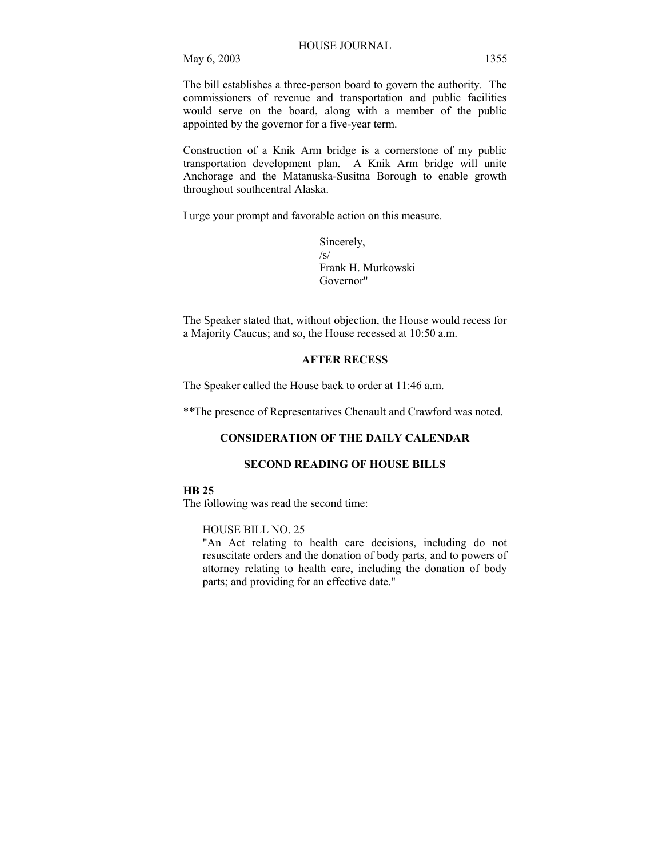The bill establishes a three-person board to govern the authority. The commissioners of revenue and transportation and public facilities would serve on the board, along with a member of the public appointed by the governor for a five-year term.

Construction of a Knik Arm bridge is a cornerstone of my public transportation development plan. A Knik Arm bridge will unite Anchorage and the Matanuska-Susitna Borough to enable growth throughout southcentral Alaska.

I urge your prompt and favorable action on this measure.

Sincerely,  $\sqrt{s}$ Frank H. Murkowski Governor"

The Speaker stated that, without objection, the House would recess for a Majority Caucus; and so, the House recessed at 10:50 a.m.

# **AFTER RECESS**

The Speaker called the House back to order at 11:46 a.m.

\*\*The presence of Representatives Chenault and Crawford was noted.

# **CONSIDERATION OF THE DAILY CALENDAR**

# **SECOND READING OF HOUSE BILLS**

### **HB 25**

The following was read the second time:

#### HOUSE BILL NO. 25

"An Act relating to health care decisions, including do not resuscitate orders and the donation of body parts, and to powers of attorney relating to health care, including the donation of body parts; and providing for an effective date."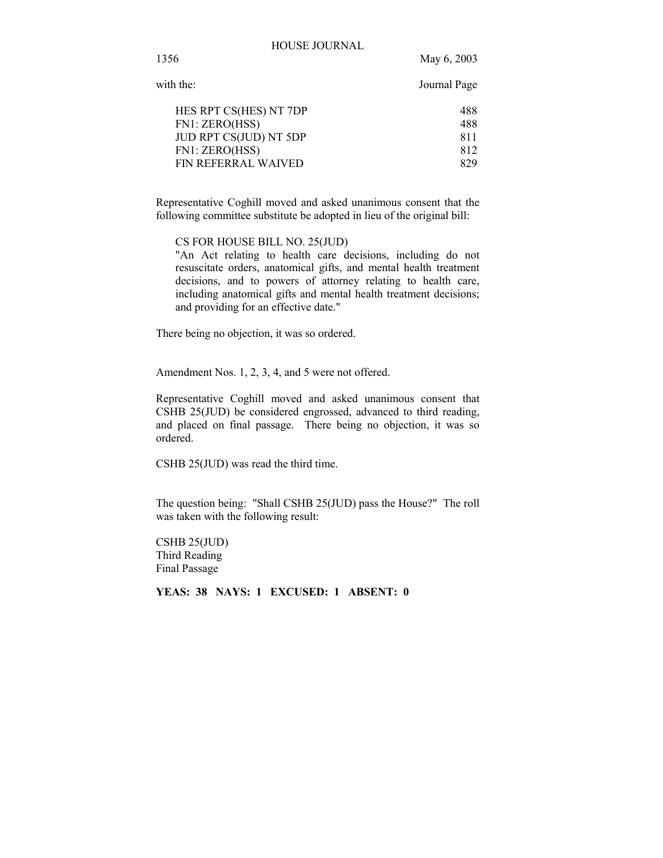1356 May 6, 2003

| with the:              | Journal Page |  |
|------------------------|--------------|--|
| HES RPT CS(HES) NT 7DP | 488          |  |
| FN1: ZERO(HSS)         | 488          |  |
| JUD RPT CS(JUD) NT 5DP | 811          |  |
| FN1: ZERO(HSS)         | 812          |  |
| FIN REFERRAL WAIVED    | 829          |  |
|                        |              |  |

Representative Coghill moved and asked unanimous consent that the following committee substitute be adopted in lieu of the original bill:

CS FOR HOUSE BILL NO. 25(JUD)

"An Act relating to health care decisions, including do not resuscitate orders, anatomical gifts, and mental health treatment decisions, and to powers of attorney relating to health care, including anatomical gifts and mental health treatment decisions; and providing for an effective date."

There being no objection, it was so ordered.

Amendment Nos. 1, 2, 3, 4, and 5 were not offered.

Representative Coghill moved and asked unanimous consent that CSHB 25(JUD) be considered engrossed, advanced to third reading, and placed on final passage. There being no objection, it was so ordered.

CSHB 25(JUD) was read the third time.

The question being: "Shall CSHB 25(JUD) pass the House?" The roll was taken with the following result:

CSHB 25(JUD) Third Reading Final Passage

**YEAS: 38 NAYS: 1 EXCUSED: 1 ABSENT: 0**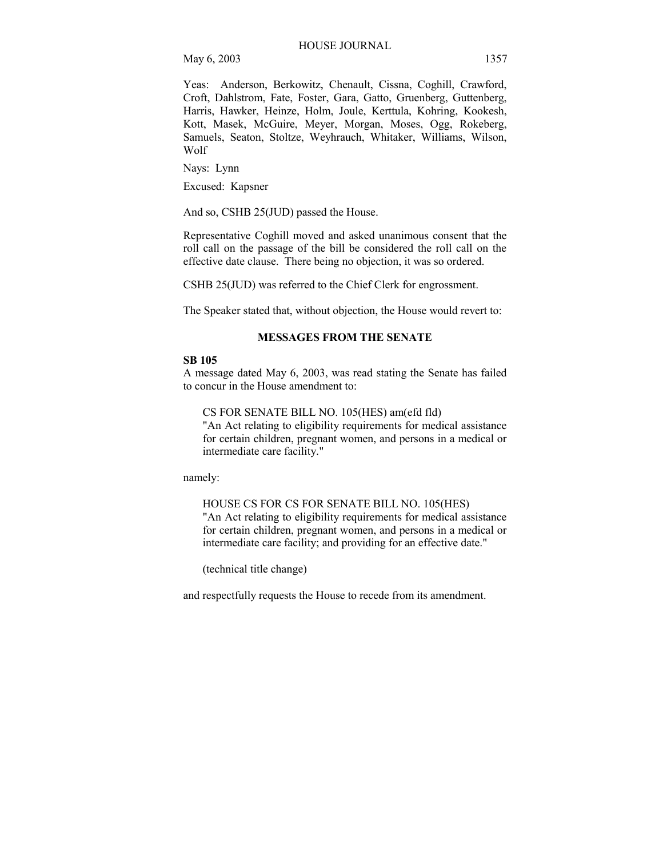Yeas: Anderson, Berkowitz, Chenault, Cissna, Coghill, Crawford, Croft, Dahlstrom, Fate, Foster, Gara, Gatto, Gruenberg, Guttenberg, Harris, Hawker, Heinze, Holm, Joule, Kerttula, Kohring, Kookesh, Kott, Masek, McGuire, Meyer, Morgan, Moses, Ogg, Rokeberg, Samuels, Seaton, Stoltze, Weyhrauch, Whitaker, Williams, Wilson, Wolf

Nays: Lynn

Excused: Kapsner

And so, CSHB 25(JUD) passed the House.

Representative Coghill moved and asked unanimous consent that the roll call on the passage of the bill be considered the roll call on the effective date clause. There being no objection, it was so ordered.

CSHB 25(JUD) was referred to the Chief Clerk for engrossment.

The Speaker stated that, without objection, the House would revert to:

### **MESSAGES FROM THE SENATE**

#### **SB 105**

A message dated May 6, 2003, was read stating the Senate has failed to concur in the House amendment to:

CS FOR SENATE BILL NO. 105(HES) am(efd fld)

"An Act relating to eligibility requirements for medical assistance for certain children, pregnant women, and persons in a medical or intermediate care facility."

namely:

HOUSE CS FOR CS FOR SENATE BILL NO. 105(HES) "An Act relating to eligibility requirements for medical assistance for certain children, pregnant women, and persons in a medical or intermediate care facility; and providing for an effective date."

(technical title change)

and respectfully requests the House to recede from its amendment.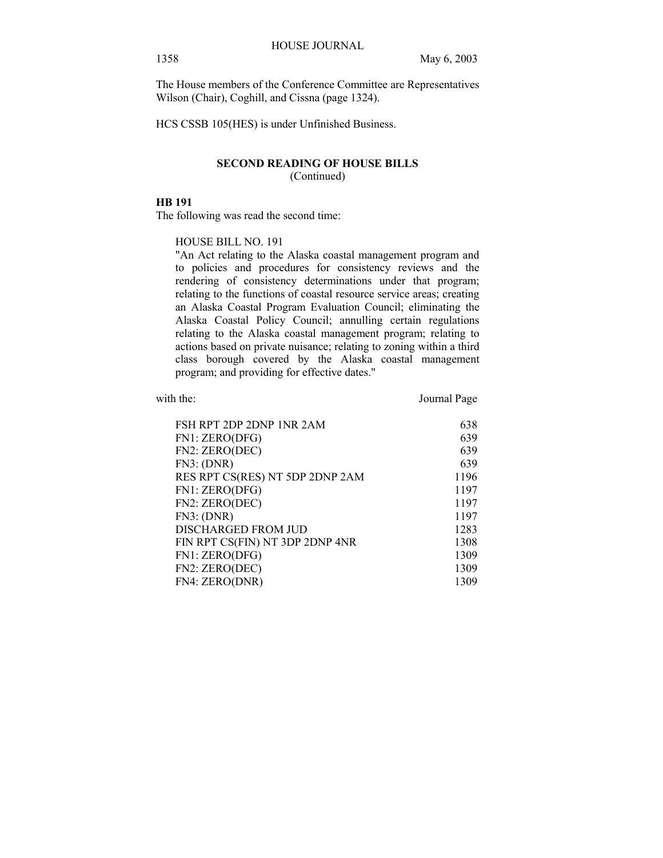The House members of the Conference Committee are Representatives Wilson (Chair), Coghill, and Cissna (page 1324).

HCS CSSB 105(HES) is under Unfinished Business.

# **SECOND READING OF HOUSE BILLS**  (Continued)

# **HB 191**

The following was read the second time:

# HOUSE BILL NO. 191

"An Act relating to the Alaska coastal management program and to policies and procedures for consistency reviews and the rendering of consistency determinations under that program; relating to the functions of coastal resource service areas; creating an Alaska Coastal Program Evaluation Council; eliminating the Alaska Coastal Policy Council; annulling certain regulations relating to the Alaska coastal management program; relating to actions based on private nuisance; relating to zoning within a third class borough covered by the Alaska coastal management program; and providing for effective dates."

with the: Journal Page

| FSH RPT 2DP 2DNP 1NR 2AM        | 638  |
|---------------------------------|------|
| FN1: ZERO(DFG)                  | 639  |
| FN2: ZERO(DEC)                  | 639  |
| FN3: (DNR)                      | 639  |
| RES RPT CS(RES) NT 5DP 2DNP 2AM | 1196 |
| FN1: ZERO(DFG)                  | 1197 |
| FN2: ZERO(DEC)                  | 1197 |
| FN3: (DNR)                      | 1197 |
| DISCHARGED FROM JUD             | 1283 |
| FIN RPT CS(FIN) NT 3DP 2DNP 4NR | 1308 |
| FN1: ZERO(DFG)                  | 1309 |
| FN2: ZERO(DEC)                  | 1309 |
| FN4: ZERO(DNR)                  | 1309 |
|                                 |      |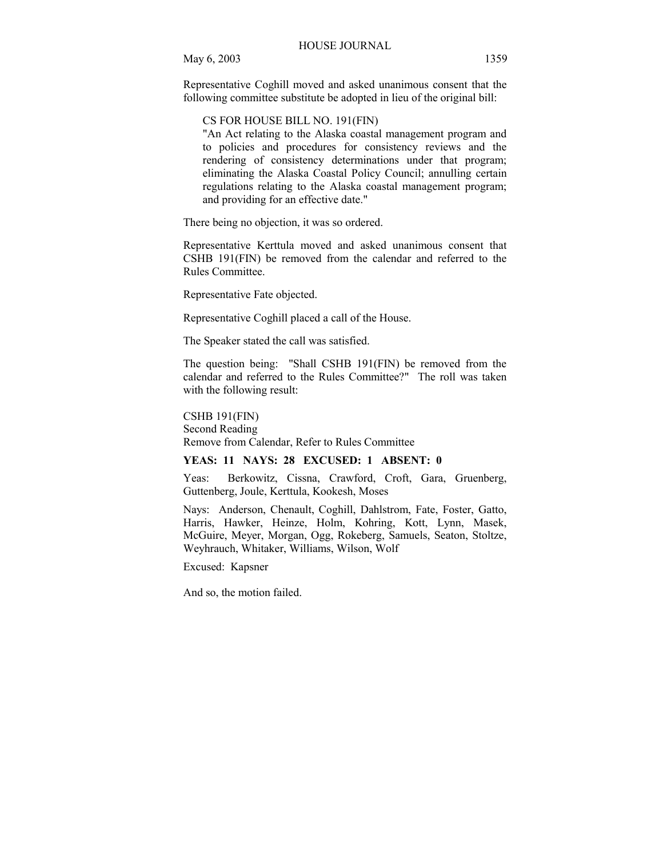Representative Coghill moved and asked unanimous consent that the following committee substitute be adopted in lieu of the original bill:

CS FOR HOUSE BILL NO. 191(FIN)

"An Act relating to the Alaska coastal management program and to policies and procedures for consistency reviews and the rendering of consistency determinations under that program; eliminating the Alaska Coastal Policy Council; annulling certain regulations relating to the Alaska coastal management program; and providing for an effective date."

There being no objection, it was so ordered.

Representative Kerttula moved and asked unanimous consent that CSHB 191(FIN) be removed from the calendar and referred to the Rules Committee.

Representative Fate objected.

Representative Coghill placed a call of the House.

The Speaker stated the call was satisfied.

The question being: "Shall CSHB 191(FIN) be removed from the calendar and referred to the Rules Committee?" The roll was taken with the following result:

CSHB 191(FIN) Second Reading Remove from Calendar, Refer to Rules Committee

# **YEAS: 11 NAYS: 28 EXCUSED: 1 ABSENT: 0**

Yeas: Berkowitz, Cissna, Crawford, Croft, Gara, Gruenberg, Guttenberg, Joule, Kerttula, Kookesh, Moses

Nays: Anderson, Chenault, Coghill, Dahlstrom, Fate, Foster, Gatto, Harris, Hawker, Heinze, Holm, Kohring, Kott, Lynn, Masek, McGuire, Meyer, Morgan, Ogg, Rokeberg, Samuels, Seaton, Stoltze, Weyhrauch, Whitaker, Williams, Wilson, Wolf

Excused: Kapsner

And so, the motion failed.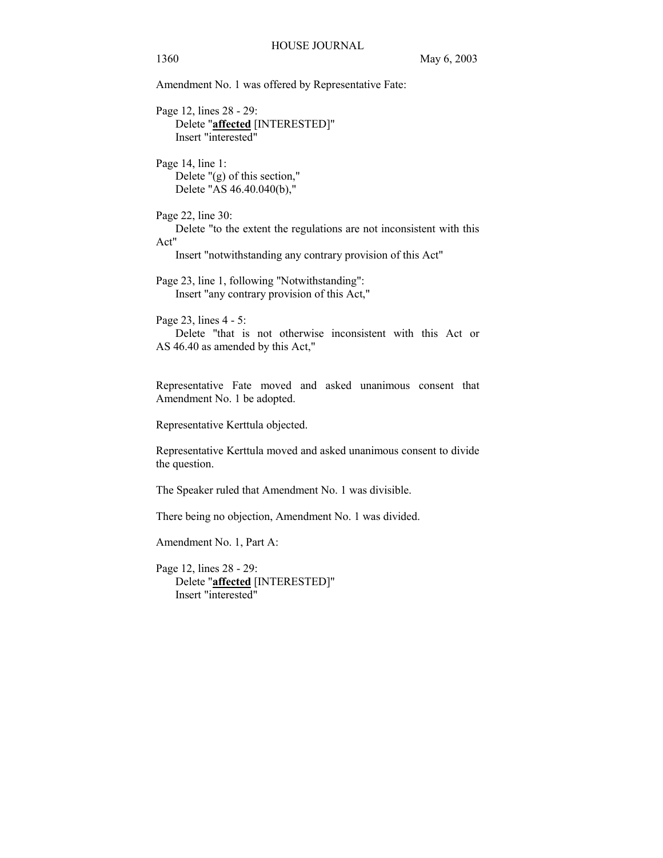Amendment No. 1 was offered by Representative Fate:

Page 12, lines 28 - 29: Delete "**affected** [INTERESTED]" Insert "interested"

Page 14, line 1: Delete "(g) of this section," Delete "AS 46.40.040(b),"

Page 22, line 30: Delete "to the extent the regulations are not inconsistent with this Act"

Insert "notwithstanding any contrary provision of this Act"

Page 23, line 1, following "Notwithstanding": Insert "any contrary provision of this Act,"

Page 23, lines 4 - 5:

 Delete "that is not otherwise inconsistent with this Act or AS 46.40 as amended by this Act,"

Representative Fate moved and asked unanimous consent that Amendment No. 1 be adopted.

Representative Kerttula objected.

Representative Kerttula moved and asked unanimous consent to divide the question.

The Speaker ruled that Amendment No. 1 was divisible.

There being no objection, Amendment No. 1 was divided.

Amendment No. 1, Part A:

Page 12, lines 28 - 29: Delete "**affected** [INTERESTED]" Insert "interested"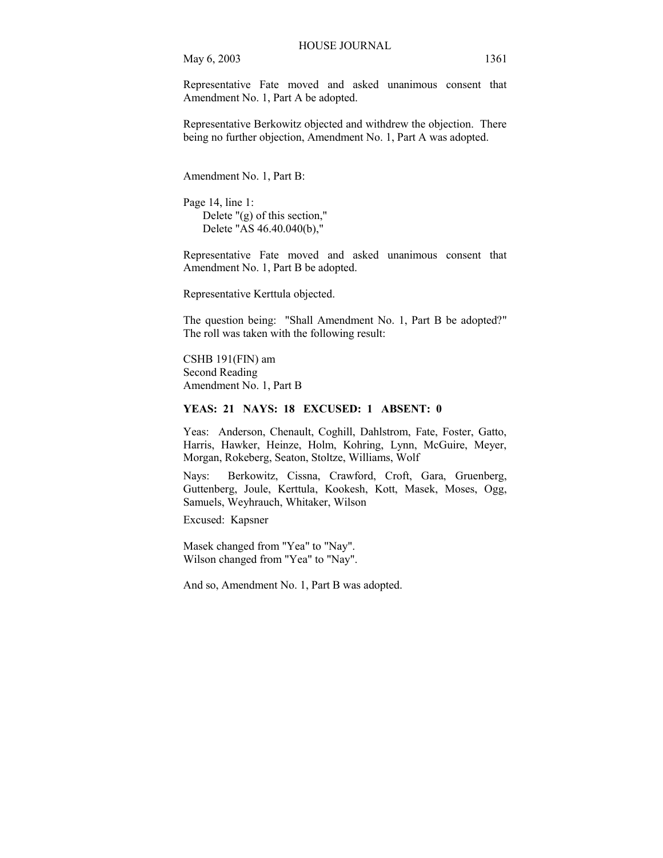Representative Fate moved and asked unanimous consent that Amendment No. 1, Part A be adopted.

Representative Berkowitz objected and withdrew the objection. There being no further objection, Amendment No. 1, Part A was adopted.

Amendment No. 1, Part B:

Page 14, line 1: Delete "(g) of this section," Delete "AS 46.40.040(b),"

Representative Fate moved and asked unanimous consent that Amendment No. 1, Part B be adopted.

Representative Kerttula objected.

The question being: "Shall Amendment No. 1, Part B be adopted?" The roll was taken with the following result:

CSHB 191(FIN) am Second Reading Amendment No. 1, Part B

### **YEAS: 21 NAYS: 18 EXCUSED: 1 ABSENT: 0**

Yeas: Anderson, Chenault, Coghill, Dahlstrom, Fate, Foster, Gatto, Harris, Hawker, Heinze, Holm, Kohring, Lynn, McGuire, Meyer, Morgan, Rokeberg, Seaton, Stoltze, Williams, Wolf

Nays: Berkowitz, Cissna, Crawford, Croft, Gara, Gruenberg, Guttenberg, Joule, Kerttula, Kookesh, Kott, Masek, Moses, Ogg, Samuels, Weyhrauch, Whitaker, Wilson

Excused: Kapsner

Masek changed from "Yea" to "Nay". Wilson changed from "Yea" to "Nay".

And so, Amendment No. 1, Part B was adopted.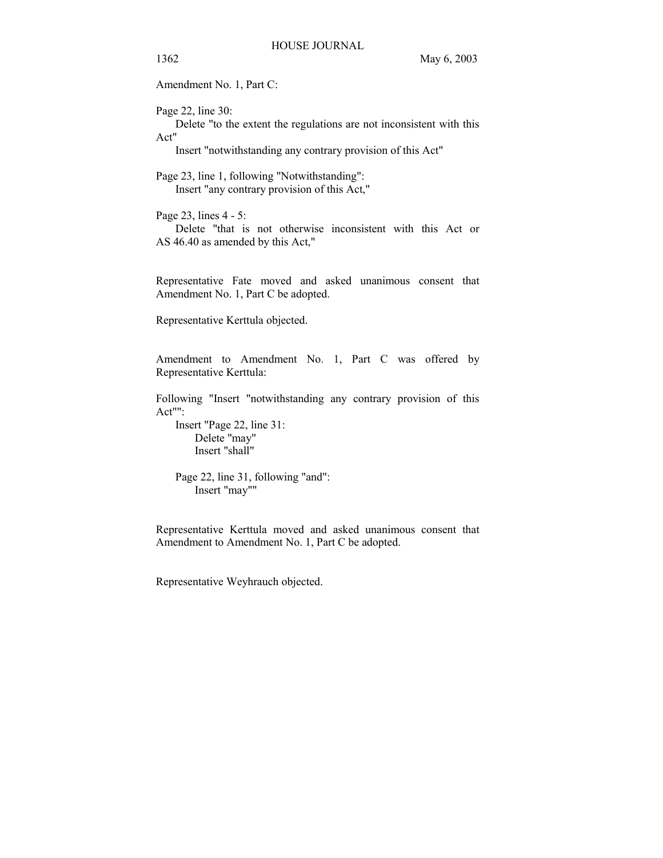Amendment No. 1, Part C:

Page 22, line 30:

 Delete "to the extent the regulations are not inconsistent with this Act"

Insert "notwithstanding any contrary provision of this Act"

Page 23, line 1, following "Notwithstanding": Insert "any contrary provision of this Act,"

Page 23, lines 4 - 5: Delete "that is not otherwise inconsistent with this Act or AS 46.40 as amended by this Act,"

Representative Fate moved and asked unanimous consent that Amendment No. 1, Part C be adopted.

Representative Kerttula objected.

Amendment to Amendment No. 1, Part C was offered by Representative Kerttula:

Following "Insert "notwithstanding any contrary provision of this Act"":

 Insert "Page 22, line 31: Delete "may" Insert "shall"

 Page 22, line 31, following "and": Insert "may""

Representative Kerttula moved and asked unanimous consent that Amendment to Amendment No. 1, Part C be adopted.

Representative Weyhrauch objected.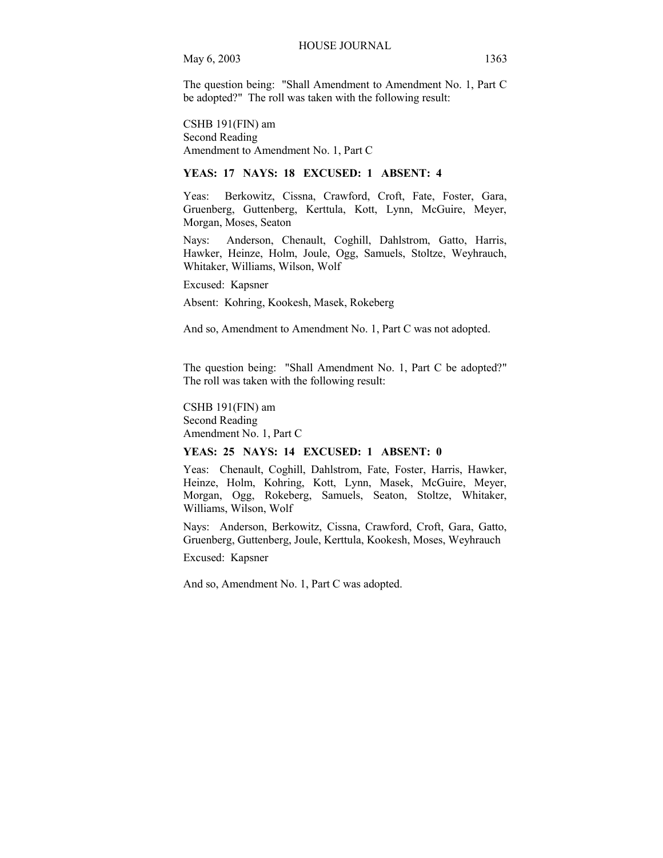The question being: "Shall Amendment to Amendment No. 1, Part C be adopted?" The roll was taken with the following result:

CSHB 191(FIN) am Second Reading Amendment to Amendment No. 1, Part C

# **YEAS: 17 NAYS: 18 EXCUSED: 1 ABSENT: 4**

Yeas: Berkowitz, Cissna, Crawford, Croft, Fate, Foster, Gara, Gruenberg, Guttenberg, Kerttula, Kott, Lynn, McGuire, Meyer, Morgan, Moses, Seaton

Nays: Anderson, Chenault, Coghill, Dahlstrom, Gatto, Harris, Hawker, Heinze, Holm, Joule, Ogg, Samuels, Stoltze, Weyhrauch, Whitaker, Williams, Wilson, Wolf

Excused: Kapsner

Absent: Kohring, Kookesh, Masek, Rokeberg

And so, Amendment to Amendment No. 1, Part C was not adopted.

The question being: "Shall Amendment No. 1, Part C be adopted?" The roll was taken with the following result:

CSHB 191(FIN) am Second Reading Amendment No. 1, Part C

#### **YEAS: 25 NAYS: 14 EXCUSED: 1 ABSENT: 0**

Yeas: Chenault, Coghill, Dahlstrom, Fate, Foster, Harris, Hawker, Heinze, Holm, Kohring, Kott, Lynn, Masek, McGuire, Meyer, Morgan, Ogg, Rokeberg, Samuels, Seaton, Stoltze, Whitaker, Williams, Wilson, Wolf

Nays: Anderson, Berkowitz, Cissna, Crawford, Croft, Gara, Gatto, Gruenberg, Guttenberg, Joule, Kerttula, Kookesh, Moses, Weyhrauch

Excused: Kapsner

And so, Amendment No. 1, Part C was adopted.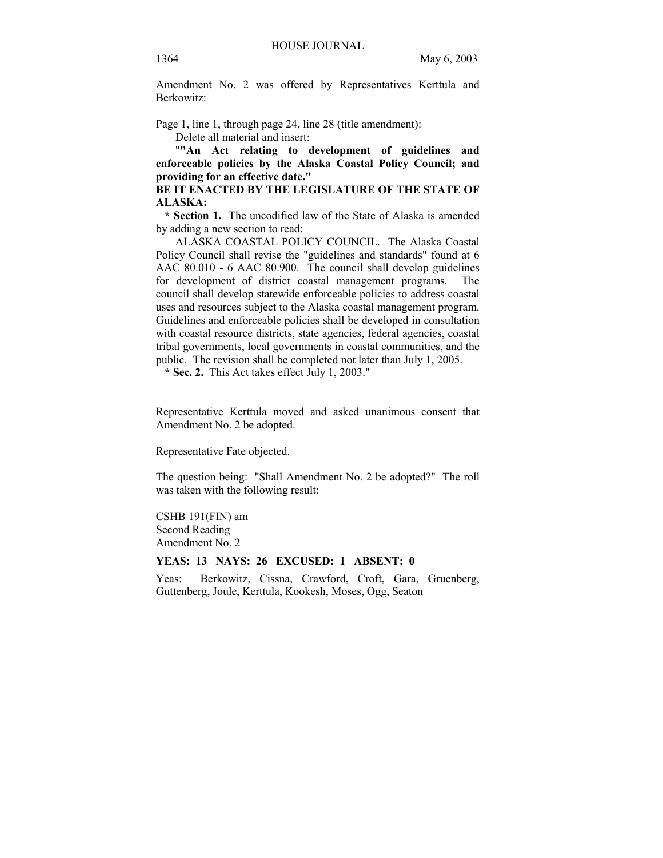Amendment No. 2 was offered by Representatives Kerttula and Berkowitz:

Page 1, line 1, through page 24, line 28 (title amendment):

Delete all material and insert:

 "**"An Act relating to development of guidelines and enforceable policies by the Alaska Coastal Policy Council; and providing for an effective date."** 

BE IT ENACTED BY THE LEGISLATURE OF THE STATE OF **ALASKA:** 

 **\* Section 1.** The uncodified law of the State of Alaska is amended by adding a new section to read:

 ALASKA COASTAL POLICY COUNCIL. The Alaska Coastal Policy Council shall revise the "guidelines and standards" found at 6 AAC 80.010 - 6 AAC 80.900. The council shall develop guidelines for development of district coastal management programs. The council shall develop statewide enforceable policies to address coastal uses and resources subject to the Alaska coastal management program. Guidelines and enforceable policies shall be developed in consultation with coastal resource districts, state agencies, federal agencies, coastal tribal governments, local governments in coastal communities, and the public. The revision shall be completed not later than July 1, 2005.

 **\* Sec. 2.** This Act takes effect July 1, 2003."

Representative Kerttula moved and asked unanimous consent that Amendment No. 2 be adopted.

Representative Fate objected.

The question being: "Shall Amendment No. 2 be adopted?" The roll was taken with the following result:

CSHB 191(FIN) am Second Reading Amendment No. 2

# **YEAS: 13 NAYS: 26 EXCUSED: 1 ABSENT: 0**

Yeas: Berkowitz, Cissna, Crawford, Croft, Gara, Gruenberg, Guttenberg, Joule, Kerttula, Kookesh, Moses, Ogg, Seaton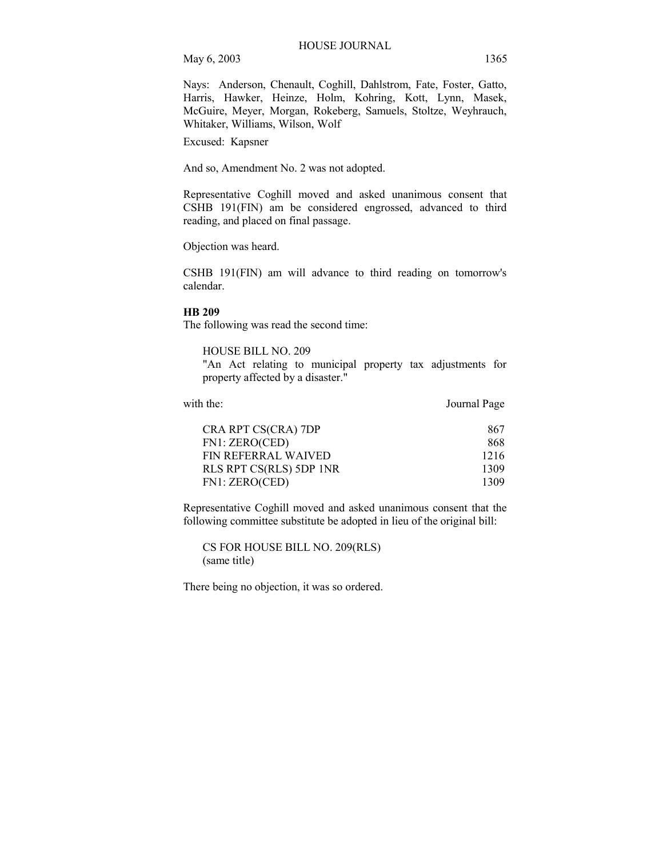Nays: Anderson, Chenault, Coghill, Dahlstrom, Fate, Foster, Gatto, Harris, Hawker, Heinze, Holm, Kohring, Kott, Lynn, Masek, McGuire, Meyer, Morgan, Rokeberg, Samuels, Stoltze, Weyhrauch, Whitaker, Williams, Wilson, Wolf

Excused: Kapsner

And so, Amendment No. 2 was not adopted.

Representative Coghill moved and asked unanimous consent that CSHB 191(FIN) am be considered engrossed, advanced to third reading, and placed on final passage.

Objection was heard.

CSHB 191(FIN) am will advance to third reading on tomorrow's calendar.

#### **HB 209**

The following was read the second time:

HOUSE BILL NO. 209

"An Act relating to municipal property tax adjustments for property affected by a disaster."

with the: Journal Page

| CRA RPT CS(CRA) 7DP        | 867  |
|----------------------------|------|
| FN1: ZERO(CED)             | 868  |
| <b>FIN REFERRAL WAIVED</b> | 1216 |
| RLS RPT CS(RLS) 5DP 1NR    | 1309 |
| FN1: ZERO(CED)             | 1309 |

Representative Coghill moved and asked unanimous consent that the following committee substitute be adopted in lieu of the original bill:

CS FOR HOUSE BILL NO. 209(RLS) (same title)

There being no objection, it was so ordered.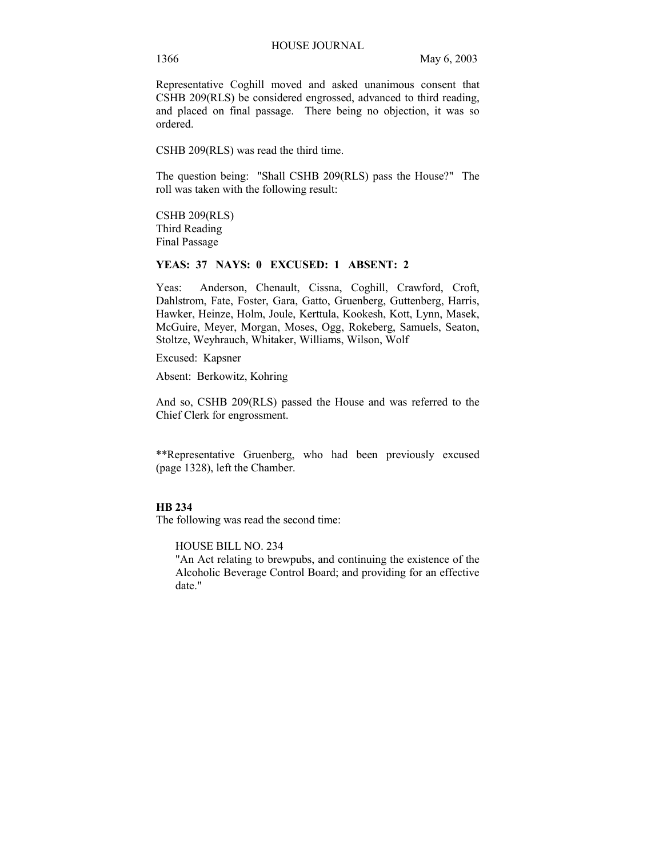Representative Coghill moved and asked unanimous consent that CSHB 209(RLS) be considered engrossed, advanced to third reading, and placed on final passage. There being no objection, it was so ordered.

CSHB 209(RLS) was read the third time.

The question being: "Shall CSHB 209(RLS) pass the House?" The roll was taken with the following result:

CSHB 209(RLS) Third Reading Final Passage

#### **YEAS: 37 NAYS: 0 EXCUSED: 1 ABSENT: 2**

Yeas: Anderson, Chenault, Cissna, Coghill, Crawford, Croft, Dahlstrom, Fate, Foster, Gara, Gatto, Gruenberg, Guttenberg, Harris, Hawker, Heinze, Holm, Joule, Kerttula, Kookesh, Kott, Lynn, Masek, McGuire, Meyer, Morgan, Moses, Ogg, Rokeberg, Samuels, Seaton, Stoltze, Weyhrauch, Whitaker, Williams, Wilson, Wolf

Excused: Kapsner

Absent: Berkowitz, Kohring

And so, CSHB 209(RLS) passed the House and was referred to the Chief Clerk for engrossment.

\*\*Representative Gruenberg, who had been previously excused (page 1328), left the Chamber.

# **HB 234**

The following was read the second time:

HOUSE BILL NO. 234

"An Act relating to brewpubs, and continuing the existence of the Alcoholic Beverage Control Board; and providing for an effective date."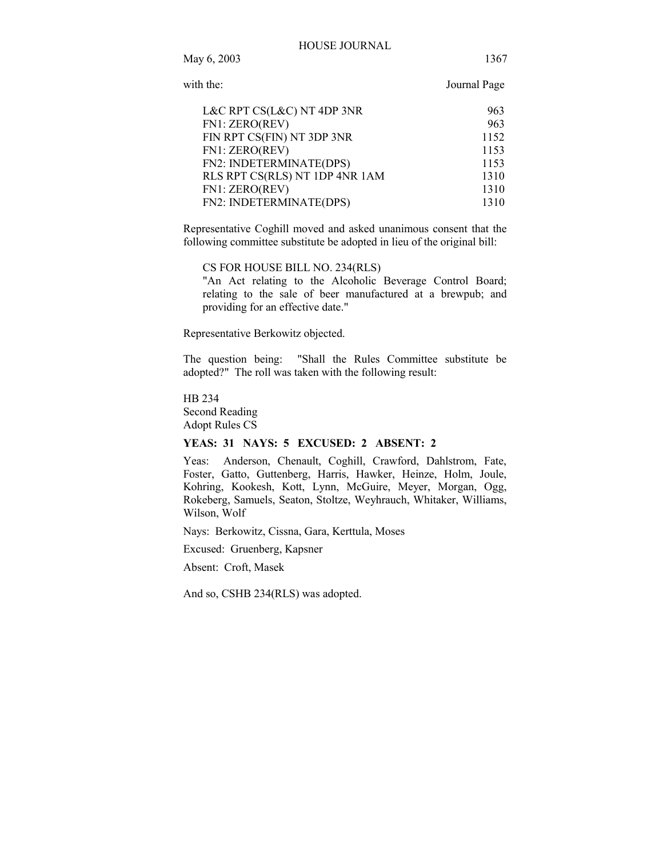Journal Page

| L&C RPT CS(L&C) NT 4DP 3NR     | 963  |
|--------------------------------|------|
| FN1: ZERO(REV)                 | 963  |
| FIN RPT CS(FIN) NT 3DP 3NR     | 1152 |
| FN1: ZERO(REV)                 | 1153 |
| FN2: INDETERMINATE(DPS)        | 1153 |
| RLS RPT CS(RLS) NT 1DP 4NR 1AM | 1310 |
| FN1: ZERO(REV)                 | 1310 |
| FN2: INDETERMINATE(DPS)        | 1310 |

Representative Coghill moved and asked unanimous consent that the following committee substitute be adopted in lieu of the original bill:

CS FOR HOUSE BILL NO. 234(RLS)

"An Act relating to the Alcoholic Beverage Control Board; relating to the sale of beer manufactured at a brewpub; and providing for an effective date."

Representative Berkowitz objected.

The question being: "Shall the Rules Committee substitute be adopted?" The roll was taken with the following result:

HB 234 Second Reading Adopt Rules CS

#### **YEAS: 31 NAYS: 5 EXCUSED: 2 ABSENT: 2**

Yeas: Anderson, Chenault, Coghill, Crawford, Dahlstrom, Fate, Foster, Gatto, Guttenberg, Harris, Hawker, Heinze, Holm, Joule, Kohring, Kookesh, Kott, Lynn, McGuire, Meyer, Morgan, Ogg, Rokeberg, Samuels, Seaton, Stoltze, Weyhrauch, Whitaker, Williams, Wilson, Wolf

Nays: Berkowitz, Cissna, Gara, Kerttula, Moses

Excused: Gruenberg, Kapsner

Absent: Croft, Masek

And so, CSHB 234(RLS) was adopted.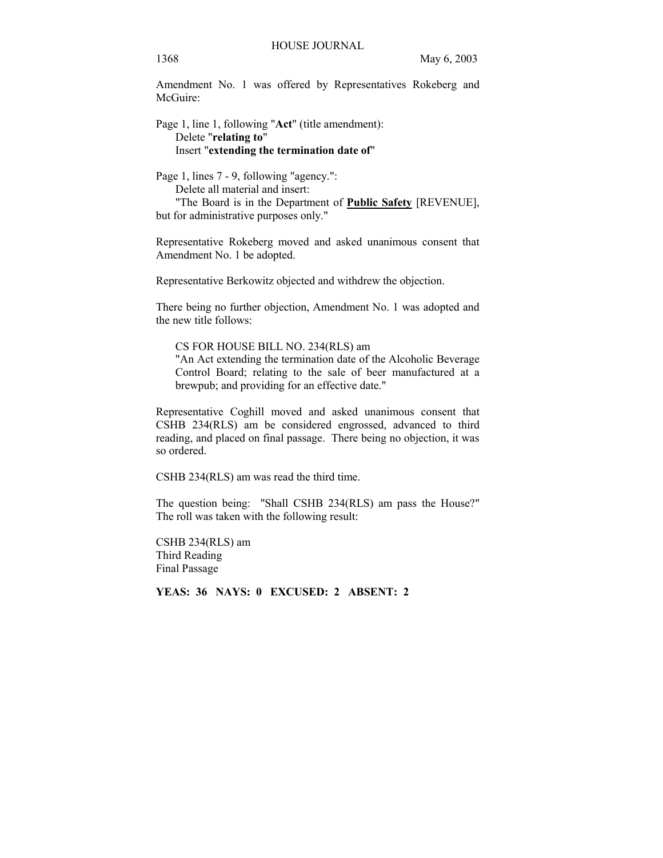Amendment No. 1 was offered by Representatives Rokeberg and McGuire:

# Page 1, line 1, following "**Act**" (title amendment): Delete "**relating to**" Insert "**extending the termination date of**"

Page 1, lines 7 - 9, following "agency.":

Delete all material and insert:

 "The Board is in the Department of **Public Safety** [REVENUE], but for administrative purposes only."

Representative Rokeberg moved and asked unanimous consent that Amendment No. 1 be adopted.

Representative Berkowitz objected and withdrew the objection.

There being no further objection, Amendment No. 1 was adopted and the new title follows:

CS FOR HOUSE BILL NO. 234(RLS) am

"An Act extending the termination date of the Alcoholic Beverage Control Board; relating to the sale of beer manufactured at a brewpub; and providing for an effective date."

Representative Coghill moved and asked unanimous consent that CSHB 234(RLS) am be considered engrossed, advanced to third reading, and placed on final passage. There being no objection, it was so ordered.

CSHB 234(RLS) am was read the third time.

The question being: "Shall CSHB 234(RLS) am pass the House?" The roll was taken with the following result:

CSHB 234(RLS) am Third Reading Final Passage

**YEAS: 36 NAYS: 0 EXCUSED: 2 ABSENT: 2**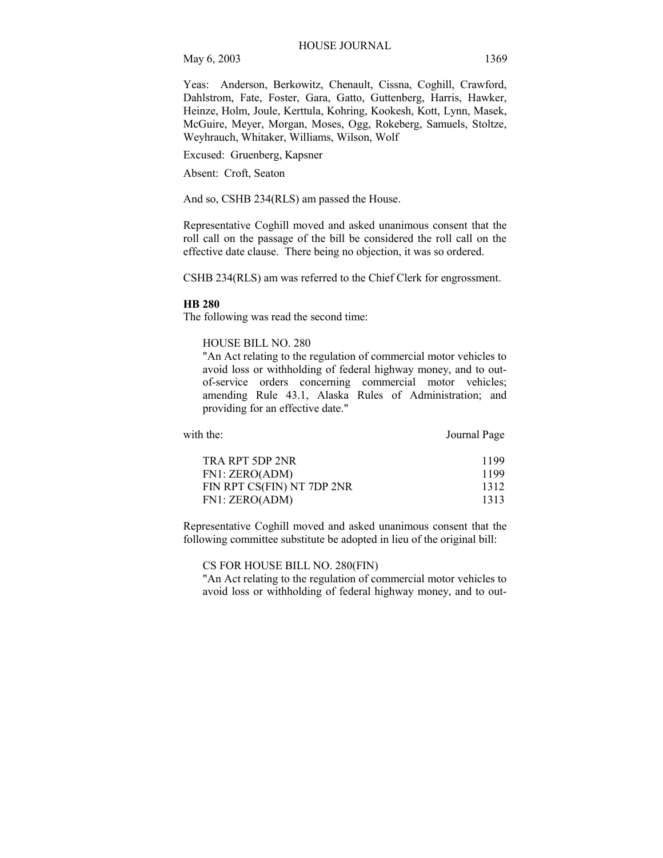Yeas: Anderson, Berkowitz, Chenault, Cissna, Coghill, Crawford, Dahlstrom, Fate, Foster, Gara, Gatto, Guttenberg, Harris, Hawker, Heinze, Holm, Joule, Kerttula, Kohring, Kookesh, Kott, Lynn, Masek, McGuire, Meyer, Morgan, Moses, Ogg, Rokeberg, Samuels, Stoltze, Weyhrauch, Whitaker, Williams, Wilson, Wolf

Excused: Gruenberg, Kapsner

Absent: Croft, Seaton

And so, CSHB 234(RLS) am passed the House.

Representative Coghill moved and asked unanimous consent that the roll call on the passage of the bill be considered the roll call on the effective date clause. There being no objection, it was so ordered.

CSHB 234(RLS) am was referred to the Chief Clerk for engrossment.

#### **HB 280**

The following was read the second time:

#### HOUSE BILL NO. 280

"An Act relating to the regulation of commercial motor vehicles to avoid loss or withholding of federal highway money, and to outof-service orders concerning commercial motor vehicles; amending Rule 43.1, Alaska Rules of Administration; and providing for an effective date."

with the: **Journal Page** 

| TRA RPT 5DP 2NR            | 1199 |
|----------------------------|------|
| FN1: ZERO(ADM)             | 1199 |
| FIN RPT CS(FIN) NT 7DP 2NR | 1312 |
| FN1: ZERO(ADM)             | 1313 |

Representative Coghill moved and asked unanimous consent that the following committee substitute be adopted in lieu of the original bill:

CS FOR HOUSE BILL NO. 280(FIN)

"An Act relating to the regulation of commercial motor vehicles to avoid loss or withholding of federal highway money, and to out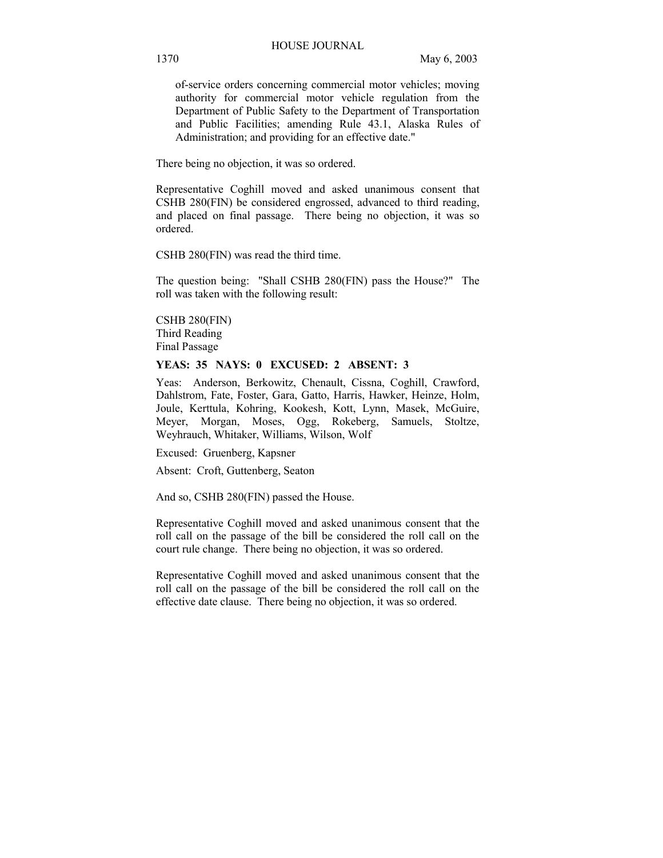of-service orders concerning commercial motor vehicles; moving authority for commercial motor vehicle regulation from the Department of Public Safety to the Department of Transportation and Public Facilities; amending Rule 43.1, Alaska Rules of Administration; and providing for an effective date."

There being no objection, it was so ordered.

Representative Coghill moved and asked unanimous consent that CSHB 280(FIN) be considered engrossed, advanced to third reading, and placed on final passage. There being no objection, it was so ordered.

CSHB 280(FIN) was read the third time.

The question being: "Shall CSHB 280(FIN) pass the House?" The roll was taken with the following result:

CSHB 280(FIN) Third Reading Final Passage

#### **YEAS: 35 NAYS: 0 EXCUSED: 2 ABSENT: 3**

Yeas: Anderson, Berkowitz, Chenault, Cissna, Coghill, Crawford, Dahlstrom, Fate, Foster, Gara, Gatto, Harris, Hawker, Heinze, Holm, Joule, Kerttula, Kohring, Kookesh, Kott, Lynn, Masek, McGuire, Meyer, Morgan, Moses, Ogg, Rokeberg, Samuels, Stoltze, Weyhrauch, Whitaker, Williams, Wilson, Wolf

Excused: Gruenberg, Kapsner

Absent: Croft, Guttenberg, Seaton

And so, CSHB 280(FIN) passed the House.

Representative Coghill moved and asked unanimous consent that the roll call on the passage of the bill be considered the roll call on the court rule change. There being no objection, it was so ordered.

Representative Coghill moved and asked unanimous consent that the roll call on the passage of the bill be considered the roll call on the effective date clause. There being no objection, it was so ordered.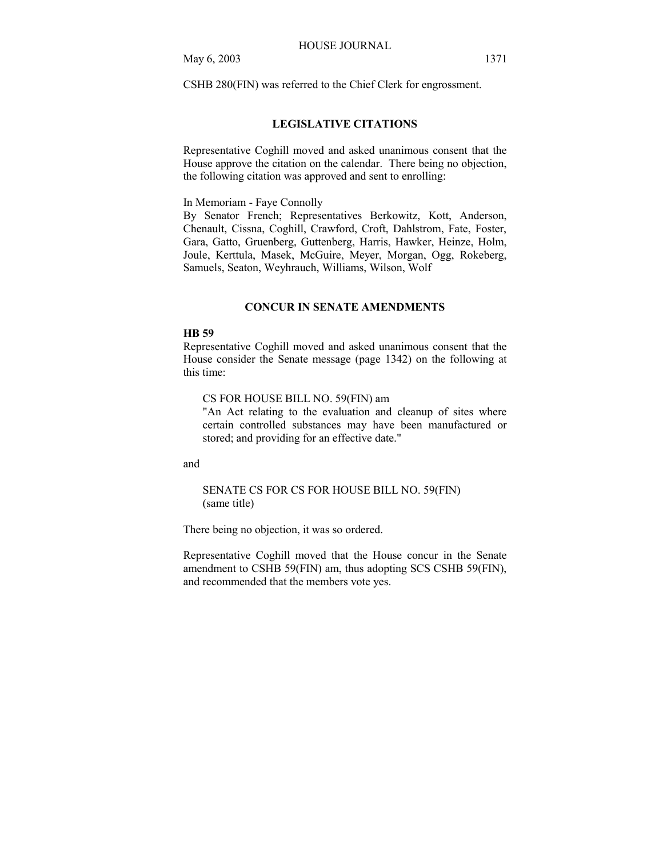CSHB 280(FIN) was referred to the Chief Clerk for engrossment.

# **LEGISLATIVE CITATIONS**

Representative Coghill moved and asked unanimous consent that the House approve the citation on the calendar. There being no objection, the following citation was approved and sent to enrolling:

In Memoriam - Faye Connolly

By Senator French; Representatives Berkowitz, Kott, Anderson, Chenault, Cissna, Coghill, Crawford, Croft, Dahlstrom, Fate, Foster, Gara, Gatto, Gruenberg, Guttenberg, Harris, Hawker, Heinze, Holm, Joule, Kerttula, Masek, McGuire, Meyer, Morgan, Ogg, Rokeberg, Samuels, Seaton, Weyhrauch, Williams, Wilson, Wolf

# **CONCUR IN SENATE AMENDMENTS**

#### **HB 59**

Representative Coghill moved and asked unanimous consent that the House consider the Senate message (page 1342) on the following at this time:

CS FOR HOUSE BILL NO. 59(FIN) am

"An Act relating to the evaluation and cleanup of sites where certain controlled substances may have been manufactured or stored; and providing for an effective date."

and

SENATE CS FOR CS FOR HOUSE BILL NO. 59(FIN) (same title)

There being no objection, it was so ordered.

Representative Coghill moved that the House concur in the Senate amendment to CSHB 59(FIN) am, thus adopting SCS CSHB 59(FIN), and recommended that the members vote yes.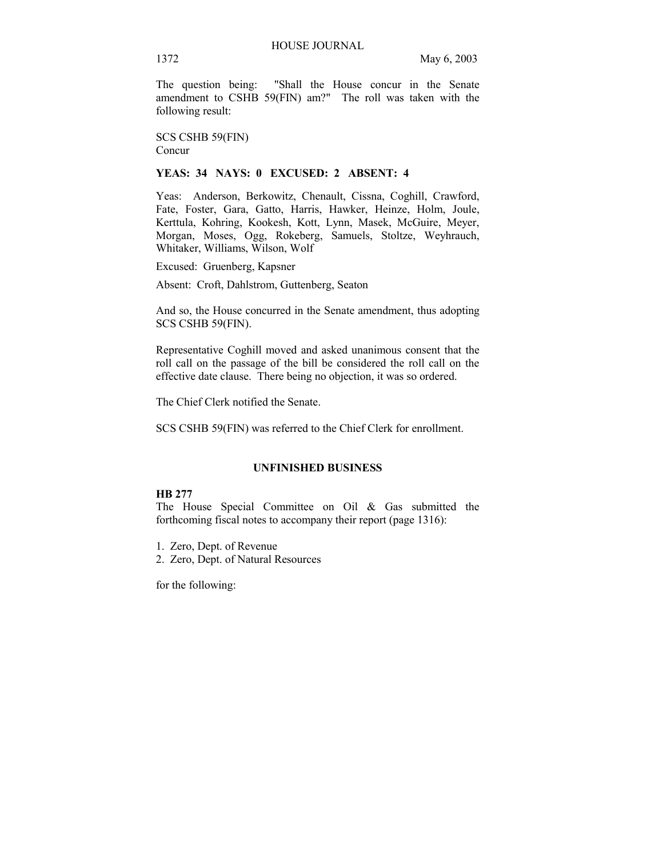The question being: "Shall the House concur in the Senate amendment to CSHB 59(FIN) am?" The roll was taken with the following result:

SCS CSHB 59(FIN) Concur

# **YEAS: 34 NAYS: 0 EXCUSED: 2 ABSENT: 4**

Yeas: Anderson, Berkowitz, Chenault, Cissna, Coghill, Crawford, Fate, Foster, Gara, Gatto, Harris, Hawker, Heinze, Holm, Joule, Kerttula, Kohring, Kookesh, Kott, Lynn, Masek, McGuire, Meyer, Morgan, Moses, Ogg, Rokeberg, Samuels, Stoltze, Weyhrauch, Whitaker, Williams, Wilson, Wolf

Excused: Gruenberg, Kapsner

Absent: Croft, Dahlstrom, Guttenberg, Seaton

And so, the House concurred in the Senate amendment, thus adopting SCS CSHB 59(FIN).

Representative Coghill moved and asked unanimous consent that the roll call on the passage of the bill be considered the roll call on the effective date clause. There being no objection, it was so ordered.

The Chief Clerk notified the Senate.

SCS CSHB 59(FIN) was referred to the Chief Clerk for enrollment.

#### **UNFINISHED BUSINESS**

# **HB 277**

The House Special Committee on Oil & Gas submitted the forthcoming fiscal notes to accompany their report (page 1316):

- 1. Zero, Dept. of Revenue
- 2. Zero, Dept. of Natural Resources

for the following: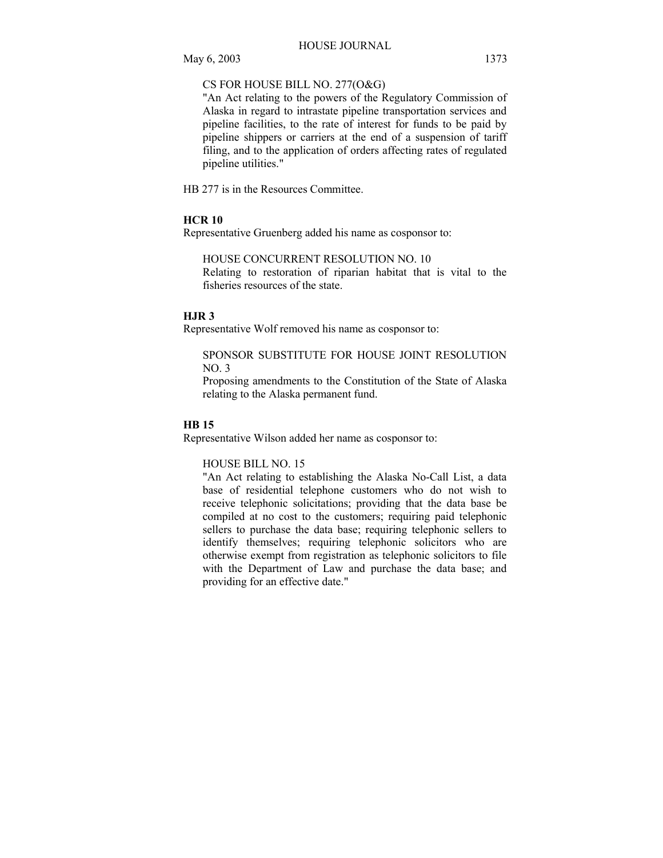# CS FOR HOUSE BILL NO. 277(O&G)

"An Act relating to the powers of the Regulatory Commission of Alaska in regard to intrastate pipeline transportation services and pipeline facilities, to the rate of interest for funds to be paid by pipeline shippers or carriers at the end of a suspension of tariff filing, and to the application of orders affecting rates of regulated pipeline utilities."

HB 277 is in the Resources Committee.

# **HCR 10**

Representative Gruenberg added his name as cosponsor to:

HOUSE CONCURRENT RESOLUTION NO. 10

Relating to restoration of riparian habitat that is vital to the fisheries resources of the state.

# **HJR 3**

Representative Wolf removed his name as cosponsor to:

#### SPONSOR SUBSTITUTE FOR HOUSE JOINT RESOLUTION NO. 3

Proposing amendments to the Constitution of the State of Alaska relating to the Alaska permanent fund.

# **HB 15**

Representative Wilson added her name as cosponsor to:

### HOUSE BILL NO. 15

"An Act relating to establishing the Alaska No-Call List, a data base of residential telephone customers who do not wish to receive telephonic solicitations; providing that the data base be compiled at no cost to the customers; requiring paid telephonic sellers to purchase the data base; requiring telephonic sellers to identify themselves; requiring telephonic solicitors who are otherwise exempt from registration as telephonic solicitors to file with the Department of Law and purchase the data base; and providing for an effective date."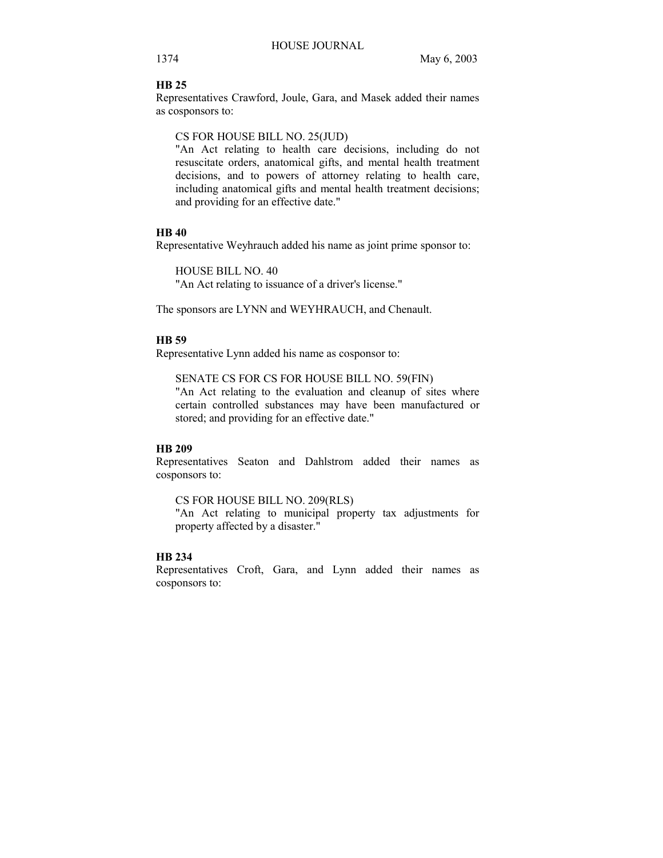# **HB 25**

Representatives Crawford, Joule, Gara, and Masek added their names as cosponsors to:

CS FOR HOUSE BILL NO. 25(JUD)

"An Act relating to health care decisions, including do not resuscitate orders, anatomical gifts, and mental health treatment decisions, and to powers of attorney relating to health care, including anatomical gifts and mental health treatment decisions; and providing for an effective date."

#### **HB 40**

Representative Weyhrauch added his name as joint prime sponsor to:

HOUSE BILL NO. 40

"An Act relating to issuance of a driver's license."

The sponsors are LYNN and WEYHRAUCH, and Chenault.

#### **HB 59**

Representative Lynn added his name as cosponsor to:

#### SENATE CS FOR CS FOR HOUSE BILL NO. 59(FIN)

"An Act relating to the evaluation and cleanup of sites where certain controlled substances may have been manufactured or stored; and providing for an effective date."

# **HB 209**

Representatives Seaton and Dahlstrom added their names as cosponsors to:

CS FOR HOUSE BILL NO. 209(RLS)

"An Act relating to municipal property tax adjustments for property affected by a disaster."

# **HB 234**

Representatives Croft, Gara, and Lynn added their names as cosponsors to: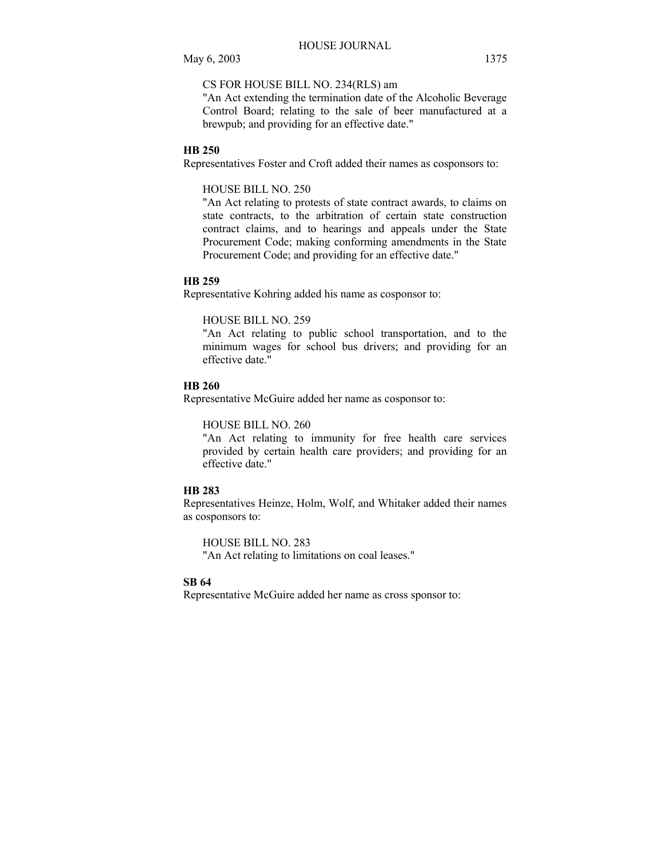# CS FOR HOUSE BILL NO. 234(RLS) am

"An Act extending the termination date of the Alcoholic Beverage Control Board; relating to the sale of beer manufactured at a brewpub; and providing for an effective date."

# **HB 250**

Representatives Foster and Croft added their names as cosponsors to:

#### HOUSE BILL NO. 250

"An Act relating to protests of state contract awards, to claims on state contracts, to the arbitration of certain state construction contract claims, and to hearings and appeals under the State Procurement Code; making conforming amendments in the State Procurement Code; and providing for an effective date."

#### **HB 259**

Representative Kohring added his name as cosponsor to:

#### HOUSE BILL NO. 259

"An Act relating to public school transportation, and to the minimum wages for school bus drivers; and providing for an effective date."

#### **HB 260**

Representative McGuire added her name as cosponsor to:

#### HOUSE BILL NO. 260

"An Act relating to immunity for free health care services provided by certain health care providers; and providing for an effective date."

# **HB 283**

Representatives Heinze, Holm, Wolf, and Whitaker added their names as cosponsors to:

HOUSE BILL NO. 283 "An Act relating to limitations on coal leases."

# **SB 64**

Representative McGuire added her name as cross sponsor to: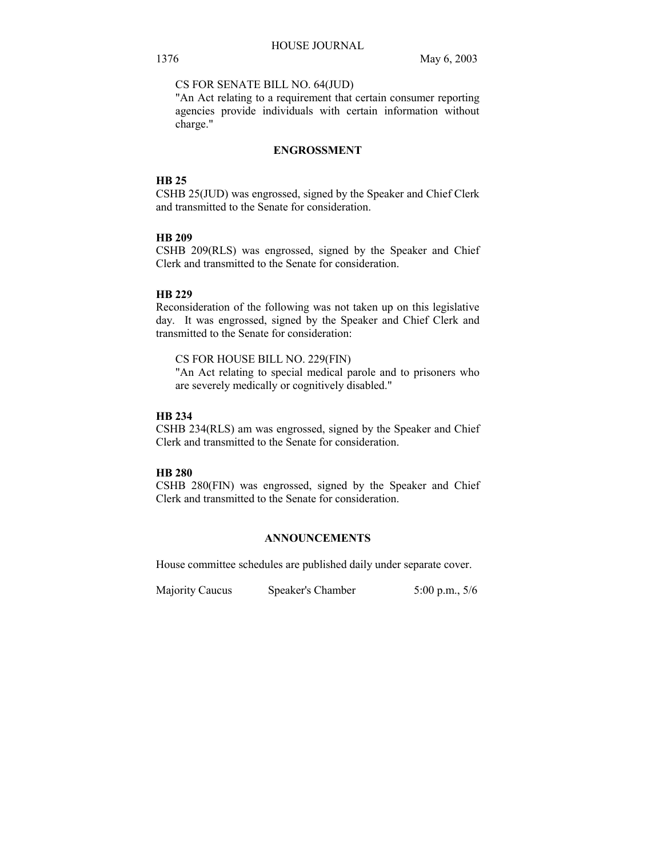CS FOR SENATE BILL NO. 64(JUD)

"An Act relating to a requirement that certain consumer reporting agencies provide individuals with certain information without charge."

# **ENGROSSMENT**

#### **HB 25**

CSHB 25(JUD) was engrossed, signed by the Speaker and Chief Clerk and transmitted to the Senate for consideration.

# **HB 209**

CSHB 209(RLS) was engrossed, signed by the Speaker and Chief Clerk and transmitted to the Senate for consideration.

# **HB 229**

Reconsideration of the following was not taken up on this legislative day. It was engrossed, signed by the Speaker and Chief Clerk and transmitted to the Senate for consideration:

CS FOR HOUSE BILL NO. 229(FIN) "An Act relating to special medical parole and to prisoners who are severely medically or cognitively disabled."

#### **HB 234**

CSHB 234(RLS) am was engrossed, signed by the Speaker and Chief Clerk and transmitted to the Senate for consideration.

# **HB 280**

CSHB 280(FIN) was engrossed, signed by the Speaker and Chief Clerk and transmitted to the Senate for consideration.

# **ANNOUNCEMENTS**

House committee schedules are published daily under separate cover.

Majority Caucus Speaker's Chamber 5:00 p.m., 5/6